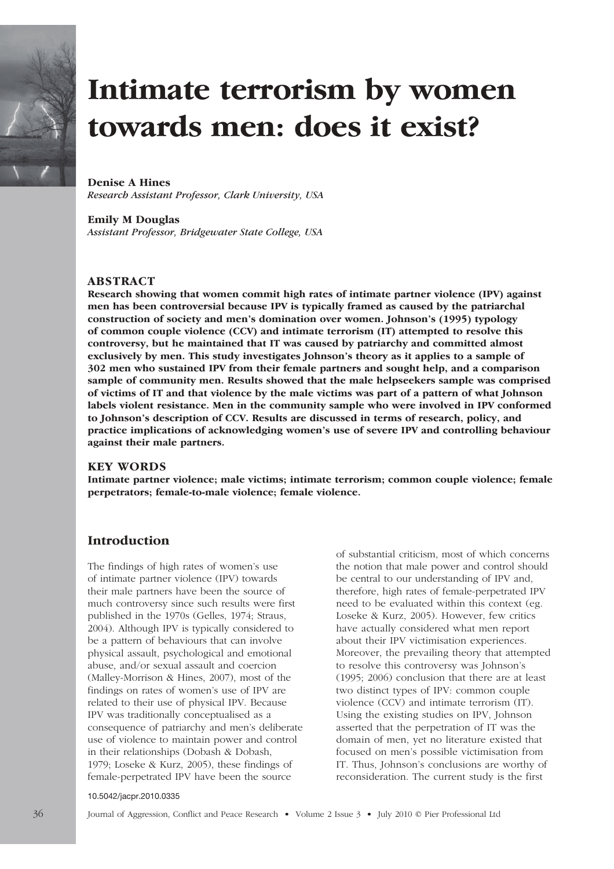

# **Intimate terrorism by women towards men: does it exist?**

**Denise A Hines** *Research Assistant Professor, Clark University, USA*

**Emily M Douglas** *Assistant Professor, Bridgewater State College, USA*

## **ABSTRACT**

**Research showing that women commit high rates of intimate partner violence (IPV) against men has been controversial because IPV is typically framed as caused by the patriarchal construction of society and men's domination over women. Johnson's (1995) typology of common couple violence (CCV) and intimate terrorism (IT) attempted to resolve this controversy, but he maintained that IT was caused by patriarchy and committed almost exclusively by men. This study investigates Johnson's theory as it applies to a sample of 302 men who sustained IPV from their female partners and sought help, and a comparison sample of community men. Results showed that the male helpseekers sample was comprised of victims of IT and that violence by the male victims was part of a pattern of what Johnson labels violent resistance. Men in the community sample who were involved in IPV conformed to Johnson's description of CCV. Results are discussed in terms of research, policy, and practice implications of acknowledging women's use of severe IPV and controlling behaviour against their male partners.**

## **KEY WORDS**

**Intimate partner violence; male victims; intimate terrorism; common couple violence; female perpetrators; female-to-male violence; female violence.**

# **Introduction**

The findings of high rates of women's use of intimate partner violence (IPV) towards their male partners have been the source of much controversy since such results were first published in the 1970s (Gelles, 1974; Straus, 2004). Although IPV is typically considered to be a pattern of behaviours that can involve physical assault, psychological and emotional abuse, and/or sexual assault and coercion (Malley-Morrison & Hines, 2007), most of the findings on rates of women's use of IPV are related to their use of physical IPV. Because IPV was traditionally conceptualised as a consequence of patriarchy and men's deliberate use of violence to maintain power and control in their relationships (Dobash & Dobash, 1979; Loseke & Kurz, 2005), these findings of female-perpetrated IPV have been the source

of substantial criticism, most of which concerns the notion that male power and control should be central to our understanding of IPV and, therefore, high rates of female-perpetrated IPV need to be evaluated within this context (eg. Loseke & Kurz, 2005). However, few critics have actually considered what men report about their IPV victimisation experiences. Moreover, the prevailing theory that attempted to resolve this controversy was Johnson's (1995; 2006) conclusion that there are at least two distinct types of IPV: common couple violence (CCV) and intimate terrorism (IT). Using the existing studies on IPV, Johnson asserted that the perpetration of IT was the domain of men, yet no literature existed that focused on men's possible victimisation from IT. Thus, Johnson's conclusions are worthy of reconsideration. The current study is the first

#### 10.5042/jacpr.2010.0335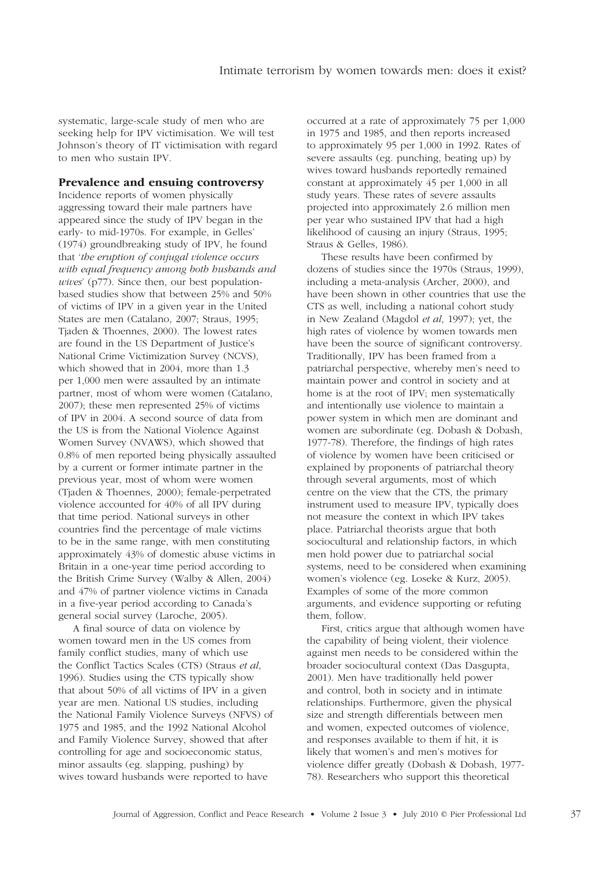systematic, large-scale study of men who are seeking help for IPV victimisation. We will test Johnson's theory of IT victimisation with regard to men who sustain IPV.

#### **Prevalence and ensuing controversy**

Incidence reports of women physically aggressing toward their male partners have appeared since the study of IPV began in the early- to mid-1970s. For example, in Gelles' (1974) groundbreaking study of IPV, he found that '*the eruption of conjugal violence occurs with equal frequency among both husbands and wives*' (p77). Since then, our best populationbased studies show that between 25% and 50% of victims of IPV in a given year in the United States are men (Catalano, 2007; Straus, 1995; Tjaden & Thoennes, 2000). The lowest rates are found in the US Department of Justice's National Crime Victimization Survey (NCVS), which showed that in 2004, more than 1.3 per 1,000 men were assaulted by an intimate partner, most of whom were women (Catalano, 2007); these men represented 25% of victims of IPV in 2004. A second source of data from the US is from the National Violence Against Women Survey (NVAWS), which showed that 0.8% of men reported being physically assaulted by a current or former intimate partner in the previous year, most of whom were women (Tjaden & Thoennes, 2000); female-perpetrated violence accounted for 40% of all IPV during that time period. National surveys in other countries find the percentage of male victims to be in the same range, with men constituting approximately 43% of domestic abuse victims in Britain in a one-year time period according to the British Crime Survey (Walby & Allen, 2004) and 47% of partner violence victims in Canada in a five-year period according to Canada's general social survey (Laroche, 2005).

A final source of data on violence by women toward men in the US comes from family conflict studies, many of which use the Conflict Tactics Scales (CTS) (Straus *et al*, 1996). Studies using the CTS typically show that about 50% of all victims of IPV in a given year are men. National US studies, including the National Family Violence Surveys (NFVS) of 1975 and 1985, and the 1992 National Alcohol and Family Violence Survey, showed that after controlling for age and socioeconomic status, minor assaults (eg. slapping, pushing) by wives toward husbands were reported to have

occurred at a rate of approximately 75 per 1,000 in 1975 and 1985, and then reports increased to approximately 95 per 1,000 in 1992. Rates of severe assaults (eg. punching, beating up) by wives toward husbands reportedly remained constant at approximately 45 per 1,000 in all study years. These rates of severe assaults projected into approximately 2.6 million men per year who sustained IPV that had a high likelihood of causing an injury (Straus, 1995; Straus & Gelles, 1986).

These results have been confirmed by dozens of studies since the 1970s (Straus, 1999), including a meta-analysis (Archer, 2000), and have been shown in other countries that use the CTS as well, including a national cohort study in New Zealand (Magdol *et al*, 1997); yet, the high rates of violence by women towards men have been the source of significant controversy. Traditionally, IPV has been framed from a patriarchal perspective, whereby men's need to maintain power and control in society and at home is at the root of IPV; men systematically and intentionally use violence to maintain a power system in which men are dominant and women are subordinate (eg. Dobash & Dobash, 1977-78). Therefore, the findings of high rates of violence by women have been criticised or explained by proponents of patriarchal theory through several arguments, most of which centre on the view that the CTS, the primary instrument used to measure IPV, typically does not measure the context in which IPV takes place. Patriarchal theorists argue that both sociocultural and relationship factors, in which men hold power due to patriarchal social systems, need to be considered when examining women's violence (eg. Loseke & Kurz, 2005). Examples of some of the more common arguments, and evidence supporting or refuting them, follow.

First, critics argue that although women have the capability of being violent, their violence against men needs to be considered within the broader sociocultural context (Das Dasgupta, 2001). Men have traditionally held power and control, both in society and in intimate relationships. Furthermore, given the physical size and strength differentials between men and women, expected outcomes of violence, and responses available to them if hit, it is likely that women's and men's motives for violence differ greatly (Dobash & Dobash, 1977- 78). Researchers who support this theoretical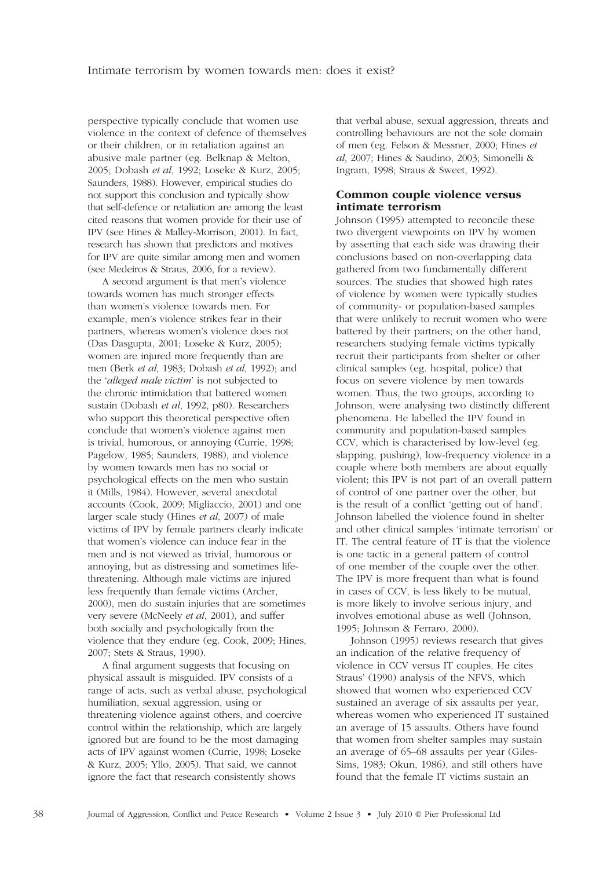perspective typically conclude that women use violence in the context of defence of themselves or their children, or in retaliation against an abusive male partner (eg. Belknap & Melton, 2005; Dobash *et al*, 1992; Loseke & Kurz, 2005; Saunders, 1988). However, empirical studies do not support this conclusion and typically show that self-defence or retaliation are among the least cited reasons that women provide for their use of IPV (see Hines & Malley-Morrison, 2001). In fact, research has shown that predictors and motives for IPV are quite similar among men and women (see Medeiros & Straus, 2006, for a review).

A second argument is that men's violence towards women has much stronger effects than women's violence towards men. For example, men's violence strikes fear in their partners, whereas women's violence does not (Das Dasgupta, 2001; Loseke & Kurz, 2005); women are injured more frequently than are men (Berk *et al*, 1983; Dobash *et al*, 1992); and the '*alleged male victim*' is not subjected to the chronic intimidation that battered women sustain (Dobash *et al*, 1992, p80). Researchers who support this theoretical perspective often conclude that women's violence against men is trivial, humorous, or annoying (Currie, 1998; Pagelow, 1985; Saunders, 1988), and violence by women towards men has no social or psychological effects on the men who sustain it (Mills, 1984). However, several anecdotal accounts (Cook, 2009; Migliaccio, 2001) and one larger scale study (Hines *et al*, 2007) of male victims of IPV by female partners clearly indicate that women's violence can induce fear in the men and is not viewed as trivial, humorous or annoying, but as distressing and sometimes lifethreatening. Although male victims are injured less frequently than female victims (Archer, 2000), men do sustain injuries that are sometimes very severe (McNeely *et al*, 2001), and suffer both socially and psychologically from the violence that they endure (eg. Cook, 2009; Hines, 2007; Stets & Straus, 1990).

A final argument suggests that focusing on physical assault is misguided. IPV consists of a range of acts, such as verbal abuse, psychological humiliation, sexual aggression, using or threatening violence against others, and coercive control within the relationship, which are largely ignored but are found to be the most damaging acts of IPV against women (Currie, 1998; Loseke & Kurz, 2005; Yllo, 2005). That said, we cannot ignore the fact that research consistently shows

that verbal abuse, sexual aggression, threats and controlling behaviours are not the sole domain of men (eg. Felson & Messner, 2000; Hines *et al*, 2007; Hines & Saudino, 2003; Simonelli & Ingram, 1998; Straus & Sweet, 1992).

## **Common couple violence versus intimate terrorism**

Johnson (1995) attempted to reconcile these two divergent viewpoints on IPV by women by asserting that each side was drawing their conclusions based on non-overlapping data gathered from two fundamentally different sources. The studies that showed high rates of violence by women were typically studies of community- or population-based samples that were unlikely to recruit women who were battered by their partners; on the other hand, researchers studying female victims typically recruit their participants from shelter or other clinical samples (eg. hospital, police) that focus on severe violence by men towards women. Thus, the two groups, according to Johnson, were analysing two distinctly different phenomena. He labelled the IPV found in community and population-based samples CCV, which is characterised by low-level (eg. slapping, pushing), low-frequency violence in a couple where both members are about equally violent; this IPV is not part of an overall pattern of control of one partner over the other, but is the result of a conflict 'getting out of hand'. Johnson labelled the violence found in shelter and other clinical samples 'intimate terrorism' or IT. The central feature of IT is that the violence is one tactic in a general pattern of control of one member of the couple over the other. The IPV is more frequent than what is found in cases of CCV, is less likely to be mutual, is more likely to involve serious injury, and involves emotional abuse as well (Johnson, 1995; Johnson & Ferraro, 2000).

Johnson (1995) reviews research that gives an indication of the relative frequency of violence in CCV versus IT couples. He cites Straus' (1990) analysis of the NFVS, which showed that women who experienced CCV sustained an average of six assaults per year, whereas women who experienced IT sustained an average of 15 assaults. Others have found that women from shelter samples may sustain an average of 65–68 assaults per year (Giles-Sims, 1983; Okun, 1986), and still others have found that the female IT victims sustain an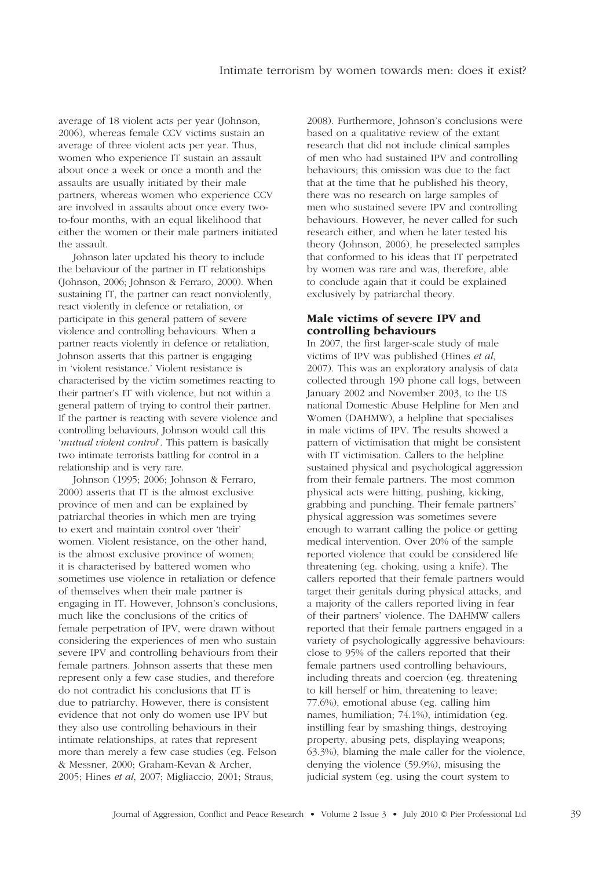average of 18 violent acts per year (Johnson, 2006), whereas female CCV victims sustain an average of three violent acts per year. Thus, women who experience IT sustain an assault about once a week or once a month and the assaults are usually initiated by their male partners, whereas women who experience CCV are involved in assaults about once every twoto-four months, with an equal likelihood that either the women or their male partners initiated the assault.

Johnson later updated his theory to include the behaviour of the partner in IT relationships (Johnson, 2006; Johnson & Ferraro, 2000). When sustaining IT, the partner can react nonviolently, react violently in defence or retaliation, or participate in this general pattern of severe violence and controlling behaviours. When a partner reacts violently in defence or retaliation, Johnson asserts that this partner is engaging in 'violent resistance.' Violent resistance is characterised by the victim sometimes reacting to their partner's IT with violence, but not within a general pattern of trying to control their partner. If the partner is reacting with severe violence and controlling behaviours, Johnson would call this '*mutual violent control*'. This pattern is basically two intimate terrorists battling for control in a relationship and is very rare.

Johnson (1995; 2006; Johnson & Ferraro, 2000) asserts that IT is the almost exclusive province of men and can be explained by patriarchal theories in which men are trying to exert and maintain control over 'their' women. Violent resistance, on the other hand, is the almost exclusive province of women; it is characterised by battered women who sometimes use violence in retaliation or defence of themselves when their male partner is engaging in IT. However, Johnson's conclusions, much like the conclusions of the critics of female perpetration of IPV, were drawn without considering the experiences of men who sustain severe IPV and controlling behaviours from their female partners. Johnson asserts that these men represent only a few case studies, and therefore do not contradict his conclusions that IT is due to patriarchy. However, there is consistent evidence that not only do women use IPV but they also use controlling behaviours in their intimate relationships, at rates that represent more than merely a few case studies (eg. Felson & Messner, 2000; Graham-Kevan & Archer, 2005; Hines *et al*, 2007; Migliaccio, 2001; Straus,

2008). Furthermore, Johnson's conclusions were based on a qualitative review of the extant research that did not include clinical samples of men who had sustained IPV and controlling behaviours; this omission was due to the fact that at the time that he published his theory, there was no research on large samples of men who sustained severe IPV and controlling behaviours. However, he never called for such research either, and when he later tested his theory (Johnson, 2006), he preselected samples that conformed to his ideas that IT perpetrated by women was rare and was, therefore, able to conclude again that it could be explained exclusively by patriarchal theory.

## **Male victims of severe IPV and controlling behaviours**

In 2007, the first larger-scale study of male victims of IPV was published (Hines *et al*, 2007). This was an exploratory analysis of data collected through 190 phone call logs, between January 2002 and November 2003, to the US national Domestic Abuse Helpline for Men and Women (DAHMW), a helpline that specialises in male victims of IPV. The results showed a pattern of victimisation that might be consistent with IT victimisation. Callers to the helpline sustained physical and psychological aggression from their female partners. The most common physical acts were hitting, pushing, kicking, grabbing and punching. Their female partners' physical aggression was sometimes severe enough to warrant calling the police or getting medical intervention. Over 20% of the sample reported violence that could be considered life threatening (eg. choking, using a knife). The callers reported that their female partners would target their genitals during physical attacks, and a majority of the callers reported living in fear of their partners' violence. The DAHMW callers reported that their female partners engaged in a variety of psychologically aggressive behaviours: close to 95% of the callers reported that their female partners used controlling behaviours, including threats and coercion (eg. threatening to kill herself or him, threatening to leave; 77.6%), emotional abuse (eg. calling him names, humiliation; 74.1%), intimidation (eg. instilling fear by smashing things, destroying property, abusing pets, displaying weapons; 63.3%), blaming the male caller for the violence, denying the violence (59.9%), misusing the judicial system (eg. using the court system to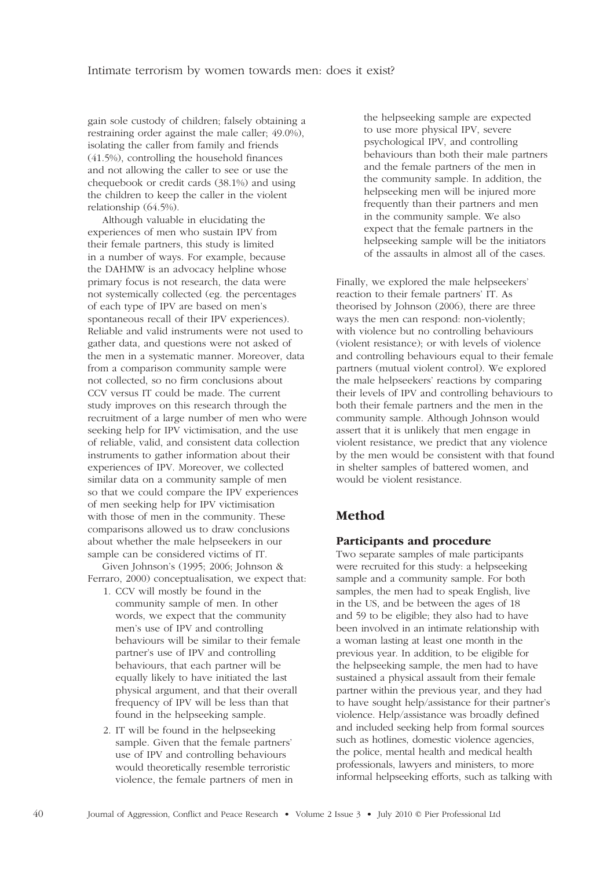gain sole custody of children; falsely obtaining a restraining order against the male caller; 49.0%), isolating the caller from family and friends (41.5%), controlling the household finances and not allowing the caller to see or use the chequebook or credit cards (38.1%) and using the children to keep the caller in the violent relationship (64.5%).

Although valuable in elucidating the experiences of men who sustain IPV from their female partners, this study is limited in a number of ways. For example, because the DAHMW is an advocacy helpline whose primary focus is not research, the data were not systemically collected (eg. the percentages of each type of IPV are based on men's spontaneous recall of their IPV experiences). Reliable and valid instruments were not used to gather data, and questions were not asked of the men in a systematic manner. Moreover, data from a comparison community sample were not collected, so no firm conclusions about CCV versus IT could be made. The current study improves on this research through the recruitment of a large number of men who were seeking help for IPV victimisation, and the use of reliable, valid, and consistent data collection instruments to gather information about their experiences of IPV. Moreover, we collected similar data on a community sample of men so that we could compare the IPV experiences of men seeking help for IPV victimisation with those of men in the community. These comparisons allowed us to draw conclusions about whether the male helpseekers in our sample can be considered victims of IT.

Given Johnson's (1995; 2006; Johnson & Ferraro, 2000) conceptualisation, we expect that:

- 1. CCV will mostly be found in the community sample of men. In other words, we expect that the community men's use of IPV and controlling behaviours will be similar to their female partner's use of IPV and controlling behaviours, that each partner will be equally likely to have initiated the last physical argument, and that their overall frequency of IPV will be less than that found in the helpseeking sample.
- 2. IT will be found in the helpseeking sample. Given that the female partners' use of IPV and controlling behaviours would theoretically resemble terroristic violence, the female partners of men in

the helpseeking sample are expected to use more physical IPV, severe psychological IPV, and controlling behaviours than both their male partners and the female partners of the men in the community sample. In addition, the helpseeking men will be injured more frequently than their partners and men in the community sample. We also expect that the female partners in the helpseeking sample will be the initiators of the assaults in almost all of the cases.

Finally, we explored the male helpseekers' reaction to their female partners' IT. As theorised by Johnson (2006), there are three ways the men can respond: non-violently; with violence but no controlling behaviours (violent resistance); or with levels of violence and controlling behaviours equal to their female partners (mutual violent control). We explored the male helpseekers' reactions by comparing their levels of IPV and controlling behaviours to both their female partners and the men in the community sample. Although Johnson would assert that it is unlikely that men engage in violent resistance, we predict that any violence by the men would be consistent with that found in shelter samples of battered women, and would be violent resistance.

# **Method**

## **Participants and procedure**

Two separate samples of male participants were recruited for this study: a helpseeking sample and a community sample. For both samples, the men had to speak English, live in the US, and be between the ages of 18 and 59 to be eligible; they also had to have been involved in an intimate relationship with a woman lasting at least one month in the previous year. In addition, to be eligible for the helpseeking sample, the men had to have sustained a physical assault from their female partner within the previous year, and they had to have sought help/assistance for their partner's violence. Help/assistance was broadly defined and included seeking help from formal sources such as hotlines, domestic violence agencies, the police, mental health and medical health professionals, lawyers and ministers, to more informal helpseeking efforts, such as talking with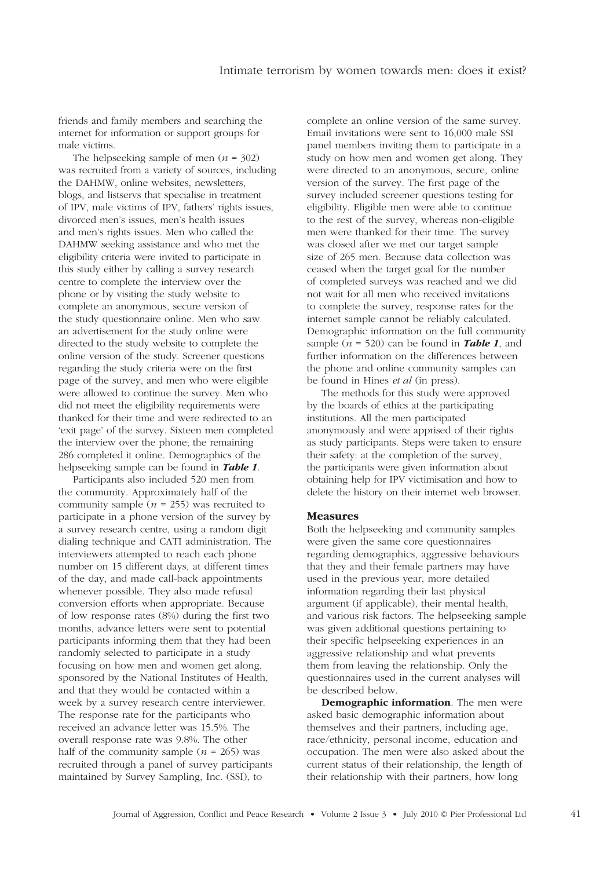friends and family members and searching the internet for information or support groups for male victims.

The helpseeking sample of men  $(n = 302)$ was recruited from a variety of sources, including the DAHMW, online websites, newsletters, blogs, and listservs that specialise in treatment of IPV, male victims of IPV, fathers' rights issues, divorced men's issues, men's health issues and men's rights issues. Men who called the DAHMW seeking assistance and who met the eligibility criteria were invited to participate in this study either by calling a survey research centre to complete the interview over the phone or by visiting the study website to complete an anonymous, secure version of the study questionnaire online. Men who saw an advertisement for the study online were directed to the study website to complete the online version of the study. Screener questions regarding the study criteria were on the first page of the survey, and men who were eligible were allowed to continue the survey. Men who did not meet the eligibility requirements were thanked for their time and were redirected to an 'exit page' of the survey. Sixteen men completed the interview over the phone; the remaining 286 completed it online. Demographics of the helpseeking sample can be found in *Table 1*.

Participants also included 520 men from the community. Approximately half of the community sample (*n* = 255) was recruited to participate in a phone version of the survey by a survey research centre, using a random digit dialing technique and CATI administration. The interviewers attempted to reach each phone number on 15 different days, at different times of the day, and made call-back appointments whenever possible. They also made refusal conversion efforts when appropriate. Because of low response rates (8%) during the first two months, advance letters were sent to potential participants informing them that they had been randomly selected to participate in a study focusing on how men and women get along, sponsored by the National Institutes of Health, and that they would be contacted within a week by a survey research centre interviewer. The response rate for the participants who received an advance letter was 15.5%. The overall response rate was 9.8%. The other half of the community sample  $(n = 265)$  was recruited through a panel of survey participants maintained by Survey Sampling, Inc. (SSI), to

complete an online version of the same survey. Email invitations were sent to 16,000 male SSI panel members inviting them to participate in a study on how men and women get along. They were directed to an anonymous, secure, online version of the survey. The first page of the survey included screener questions testing for eligibility. Eligible men were able to continue to the rest of the survey, whereas non-eligible men were thanked for their time. The survey was closed after we met our target sample size of 265 men. Because data collection was ceased when the target goal for the number of completed surveys was reached and we did not wait for all men who received invitations to complete the survey, response rates for the internet sample cannot be reliably calculated. Demographic information on the full community sample  $(n = 520)$  can be found in **Table 1**, and further information on the differences between the phone and online community samples can be found in Hines *et al* (in press).

The methods for this study were approved by the boards of ethics at the participating institutions. All the men participated anonymously and were apprised of their rights as study participants. Steps were taken to ensure their safety: at the completion of the survey, the participants were given information about obtaining help for IPV victimisation and how to delete the history on their internet web browser.

#### **Measures**

Both the helpseeking and community samples were given the same core questionnaires regarding demographics, aggressive behaviours that they and their female partners may have used in the previous year, more detailed information regarding their last physical argument (if applicable), their mental health, and various risk factors. The helpseeking sample was given additional questions pertaining to their specific helpseeking experiences in an aggressive relationship and what prevents them from leaving the relationship. Only the questionnaires used in the current analyses will be described below.

**Demographic information**. The men were asked basic demographic information about themselves and their partners, including age, race/ethnicity, personal income, education and occupation. The men were also asked about the current status of their relationship, the length of their relationship with their partners, how long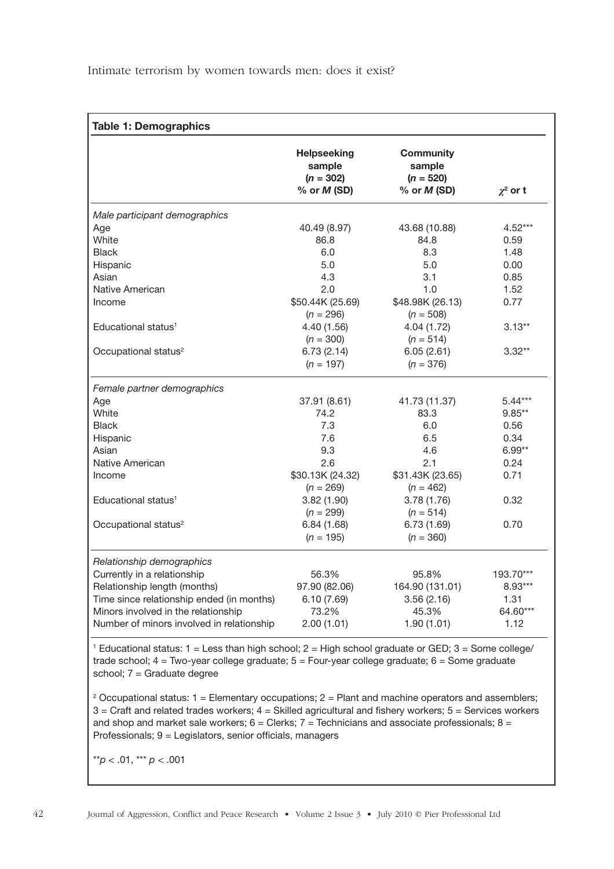| <b>Table 1: Demographics</b>              |                                                                |                                                              |               |
|-------------------------------------------|----------------------------------------------------------------|--------------------------------------------------------------|---------------|
|                                           | <b>Helpseeking</b><br>sample<br>$(n = 302)$<br>$%$ or $M$ (SD) | <b>Community</b><br>sample<br>$(n = 520)$<br>$%$ or $M$ (SD) | $\chi^2$ or t |
| Male participant demographics             |                                                                |                                                              |               |
| Age                                       | 40.49 (8.97)                                                   | 43.68 (10.88)                                                | $4.52***$     |
| White                                     | 86.8                                                           | 84.8                                                         | 0.59          |
| <b>Black</b>                              | 6.0                                                            | 8.3                                                          | 1.48          |
| Hispanic                                  | 5.0                                                            | 5.0                                                          | 0.00          |
| Asian                                     | 4.3                                                            | 3.1                                                          | 0.85          |
| Native American                           | 2.0                                                            | 1.0                                                          | 1.52          |
| Income                                    | \$50.44K (25.69)                                               | \$48.98K (26.13)                                             | 0.77          |
|                                           | $(n = 296)$                                                    | $(n = 508)$                                                  |               |
| Educational status <sup>1</sup>           | 4.40 (1.56)                                                    | 4.04(1.72)                                                   | $3.13***$     |
|                                           | $(n = 300)$                                                    | $(n = 514)$                                                  |               |
| Occupational status <sup>2</sup>          | 6.73(2.14)                                                     | 6.05(2.61)                                                   | $3.32**$      |
|                                           | $(n = 197)$                                                    | $(n = 376)$                                                  |               |
| Female partner demographics               |                                                                |                                                              |               |
| Age                                       | 37.91 (8.61)                                                   | 41.73 (11.37)                                                | $5.44***$     |
| White                                     | 74.2                                                           | 83.3                                                         | $9.85***$     |
| <b>Black</b>                              | 7.3                                                            | 6.0                                                          | 0.56          |
| Hispanic                                  | 7.6                                                            | 6.5                                                          | 0.34          |
| Asian                                     | 9.3                                                            | 4.6                                                          | $6.99**$      |
| Native American                           | 2.6                                                            | 2.1                                                          | 0.24          |
| Income                                    | \$30.13K (24.32)                                               | \$31.43K (23.65)                                             | 0.71          |
|                                           | $(n = 269)$                                                    | $(n = 462)$                                                  |               |
| Educational status <sup>1</sup>           | 3.82(1.90)                                                     | 3.78(1.76)                                                   | 0.32          |
|                                           | $(n = 299)$                                                    | $(n = 514)$                                                  |               |
| Occupational status <sup>2</sup>          | 6.84(1.68)                                                     | 6.73(1.69)                                                   | 0.70          |
|                                           | $(n = 195)$                                                    | $(n = 360)$                                                  |               |
| Relationship demographics                 |                                                                |                                                              |               |
| Currently in a relationship               | 56.3%                                                          | 95.8%                                                        | 193.70***     |
| Relationship length (months)              | 97.90 (82.06)                                                  | 164.90 (131.01)                                              | 8.93***       |
| Time since relationship ended (in months) | 6.10(7.69)                                                     | 3.56(2.16)                                                   | 1.31          |
| Minors involved in the relationship       | 73.2%                                                          | 45.3%                                                        | 64.60***      |
| Number of minors involved in relationship | 2.00(1.01)                                                     | 1.90(1.01)                                                   | 1.12          |

Intimate terrorism by women towards men: does it exist?

1 Educational status: 1 = Less than high school; 2 = High school graduate or GED; 3 = Some college/ trade school; 4 = Two-year college graduate; 5 = Four-year college graduate; 6 = Some graduate school; 7 = Graduate degree

<sup>2</sup> Occupational status:  $1$  = Elementary occupations;  $2$  = Plant and machine operators and assemblers;  $3$  = Craft and related trades workers;  $4$  = Skilled agricultural and fishery workers;  $5$  = Services workers and shop and market sale workers;  $6 =$  Clerks;  $7 =$  Technicians and associate professionals;  $8 =$ Professionals; 9 = Legislators, senior officials, managers

\*\**p* < .01, \*\*\* *p* < .001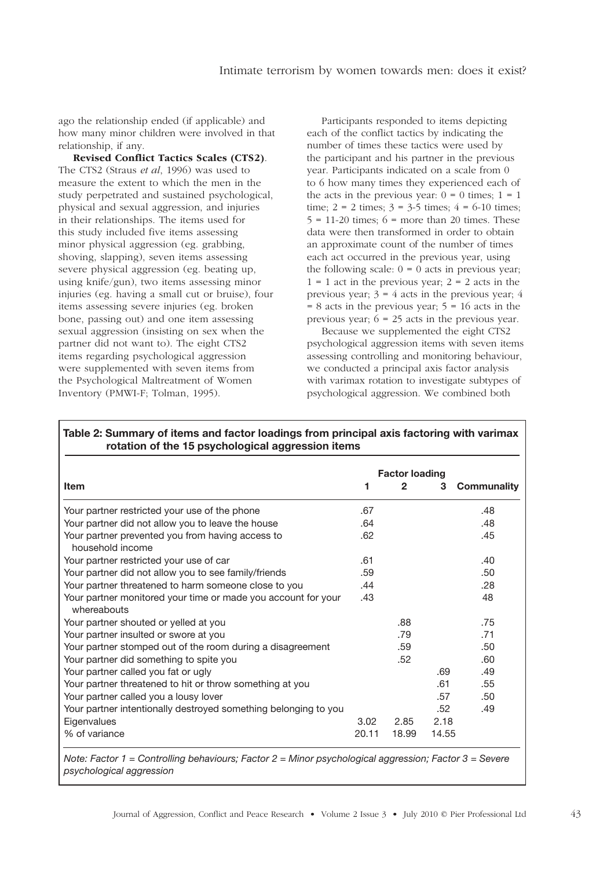ago the relationship ended (if applicable) and how many minor children were involved in that relationship, if any.

**Revised Conflict Tactics Scales (CTS2)**. The CTS2 (Straus *et al*, 1996) was used to measure the extent to which the men in the study perpetrated and sustained psychological, physical and sexual aggression, and injuries in their relationships. The items used for this study included five items assessing minor physical aggression (eg. grabbing, shoving, slapping), seven items assessing severe physical aggression (eg. beating up, using knife/gun), two items assessing minor injuries (eg. having a small cut or bruise), four items assessing severe injuries (eg. broken bone, passing out) and one item assessing sexual aggression (insisting on sex when the partner did not want to). The eight CTS2 items regarding psychological aggression were supplemented with seven items from the Psychological Maltreatment of Women Inventory (PMWI-F; Tolman, 1995).

Participants responded to items depicting each of the conflict tactics by indicating the number of times these tactics were used by the participant and his partner in the previous year. Participants indicated on a scale from 0 to 6 how many times they experienced each of the acts in the previous year:  $0 = 0$  times:  $1 = 1$ time;  $2 = 2$  times;  $3 = 3-5$  times;  $4 = 6-10$  times;  $5 = 11-20$  times;  $6 =$  more than 20 times. These data were then transformed in order to obtain an approximate count of the number of times each act occurred in the previous year, using the following scale:  $0 = 0$  acts in previous year:  $1 = 1$  act in the previous year;  $2 = 2$  acts in the previous year;  $3 = 4$  acts in the previous year;  $4$  $= 8$  acts in the previous year;  $5 = 16$  acts in the previous year;  $6 = 25$  acts in the previous year.

Because we supplemented the eight CTS2 psychological aggression items with seven items assessing controlling and monitoring behaviour, we conducted a principal axis factor analysis with varimax rotation to investigate subtypes of psychological aggression. We combined both

| Table 2: Summary of items and factor loadings from principal axis factoring with varimax |
|------------------------------------------------------------------------------------------|
| rotation of the 15 psychological aggression items                                        |

|                                                                              |       | <b>Factor loading</b> |       |             |
|------------------------------------------------------------------------------|-------|-----------------------|-------|-------------|
| Item                                                                         | 1     | 2                     | 3     | Communality |
| Your partner restricted your use of the phone                                | .67   |                       |       | .48         |
| Your partner did not allow you to leave the house                            | .64   |                       |       | .48         |
| Your partner prevented you from having access to<br>household income         | .62   |                       |       | .45         |
| Your partner restricted your use of car                                      | .61   |                       |       | .40         |
| Your partner did not allow you to see family/friends                         | .59   |                       |       | .50         |
| Your partner threatened to harm someone close to you                         | .44   |                       |       | .28         |
| Your partner monitored your time or made you account for your<br>whereabouts | .43   |                       |       | 48          |
| Your partner shouted or yelled at you                                        |       | .88                   |       | .75         |
| Your partner insulted or swore at you                                        |       | .79                   |       | .71         |
| Your partner stomped out of the room during a disagreement                   |       | .59                   |       | .50         |
| Your partner did something to spite you                                      |       | .52                   |       | .60         |
| Your partner called you fat or ugly                                          |       |                       | .69   | .49         |
| Your partner threatened to hit or throw something at you                     |       |                       | .61   | .55         |
| Your partner called you a lousy lover                                        |       |                       | .57   | .50         |
| Your partner intentionally destroyed something belonging to you              |       |                       | .52   | .49         |
| Eigenvalues                                                                  | 3.02  | 2.85                  | 2.18  |             |
| % of variance                                                                | 20.11 | 18.99                 | 14.55 |             |

*Note: Factor 1 = Controlling behaviours; Factor 2 = Minor psychological aggression; Factor 3 = Severe psychological aggression*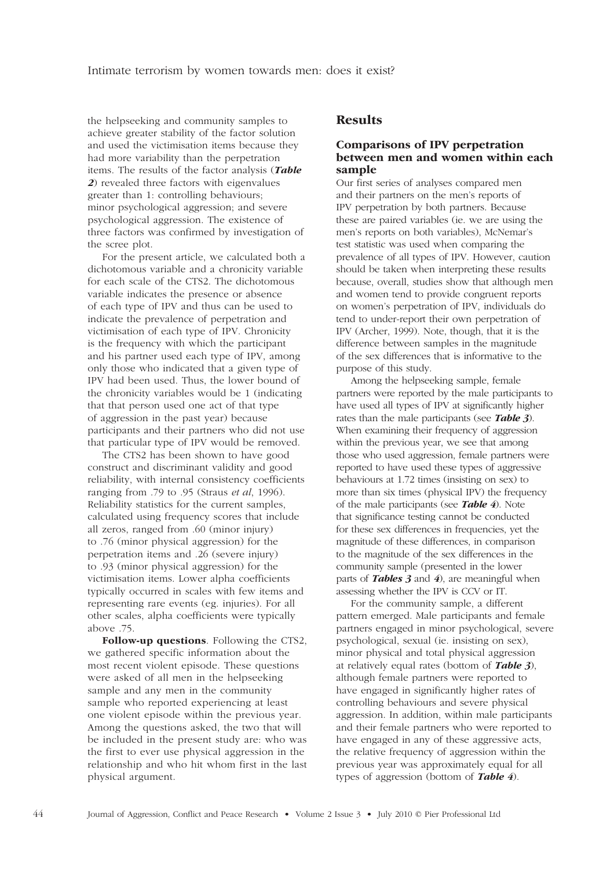the helpseeking and community samples to achieve greater stability of the factor solution and used the victimisation items because they had more variability than the perpetration items. The results of the factor analysis (*Table 2*) revealed three factors with eigenvalues greater than 1: controlling behaviours; minor psychological aggression; and severe psychological aggression. The existence of three factors was confirmed by investigation of the scree plot.

For the present article, we calculated both a dichotomous variable and a chronicity variable for each scale of the CTS2. The dichotomous variable indicates the presence or absence of each type of IPV and thus can be used to indicate the prevalence of perpetration and victimisation of each type of IPV. Chronicity is the frequency with which the participant and his partner used each type of IPV, among only those who indicated that a given type of IPV had been used. Thus, the lower bound of the chronicity variables would be 1 (indicating that that person used one act of that type of aggression in the past year) because participants and their partners who did not use that particular type of IPV would be removed.

The CTS2 has been shown to have good construct and discriminant validity and good reliability, with internal consistency coefficients ranging from .79 to .95 (Straus *et al*, 1996). Reliability statistics for the current samples, calculated using frequency scores that include all zeros, ranged from .60 (minor injury) to .76 (minor physical aggression) for the perpetration items and .26 (severe injury) to .93 (minor physical aggression) for the victimisation items. Lower alpha coefficients typically occurred in scales with few items and representing rare events (eg. injuries). For all other scales, alpha coefficients were typically above .75.

**Follow-up questions**. Following the CTS2, we gathered specific information about the most recent violent episode. These questions were asked of all men in the helpseeking sample and any men in the community sample who reported experiencing at least one violent episode within the previous year. Among the questions asked, the two that will be included in the present study are: who was the first to ever use physical aggression in the relationship and who hit whom first in the last physical argument.

# **Results**

## **Comparisons of IPV perpetration between men and women within each sample**

Our first series of analyses compared men and their partners on the men's reports of IPV perpetration by both partners. Because these are paired variables (ie. we are using the men's reports on both variables), McNemar's test statistic was used when comparing the prevalence of all types of IPV. However, caution should be taken when interpreting these results because, overall, studies show that although men and women tend to provide congruent reports on women's perpetration of IPV, individuals do tend to under-report their own perpetration of IPV (Archer, 1999). Note, though, that it is the difference between samples in the magnitude of the sex differences that is informative to the purpose of this study.

Among the helpseeking sample, female partners were reported by the male participants to have used all types of IPV at significantly higher rates than the male participants (see *Table 3*). When examining their frequency of aggression within the previous year, we see that among those who used aggression, female partners were reported to have used these types of aggressive behaviours at 1.72 times (insisting on sex) to more than six times (physical IPV) the frequency of the male participants (see *Table 4*). Note that significance testing cannot be conducted for these sex differences in frequencies, yet the magnitude of these differences, in comparison to the magnitude of the sex differences in the community sample (presented in the lower parts of *Tables 3* and *4*), are meaningful when assessing whether the IPV is CCV or IT.

For the community sample, a different pattern emerged. Male participants and female partners engaged in minor psychological, severe psychological, sexual (ie. insisting on sex), minor physical and total physical aggression at relatively equal rates (bottom of *Table 3*), although female partners were reported to have engaged in significantly higher rates of controlling behaviours and severe physical aggression. In addition, within male participants and their female partners who were reported to have engaged in any of these aggressive acts, the relative frequency of aggression within the previous year was approximately equal for all types of aggression (bottom of *Table 4*).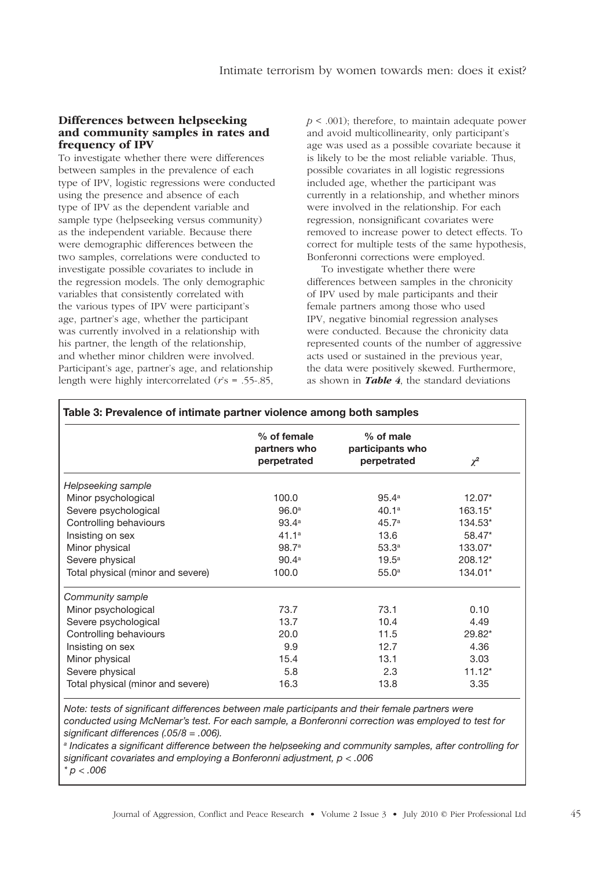## **Differences between helpseeking and community samples in rates and frequency of IPV**

To investigate whether there were differences between samples in the prevalence of each type of IPV, logistic regressions were conducted using the presence and absence of each type of IPV as the dependent variable and sample type (helpseeking versus community) as the independent variable. Because there were demographic differences between the two samples, correlations were conducted to investigate possible covariates to include in the regression models. The only demographic variables that consistently correlated with the various types of IPV were participant's age, partner's age, whether the participant was currently involved in a relationship with his partner, the length of the relationship, and whether minor children were involved. Participant's age, partner's age, and relationship length were highly intercorrelated (*r*'s = .55-.85,

 $p \leq 0.001$ ); therefore, to maintain adequate power and avoid multicollinearity, only participant's age was used as a possible covariate because it is likely to be the most reliable variable. Thus, possible covariates in all logistic regressions included age, whether the participant was currently in a relationship, and whether minors were involved in the relationship. For each regression, nonsignificant covariates were removed to increase power to detect effects. To correct for multiple tests of the same hypothesis, Bonferonni corrections were employed.

To investigate whether there were differences between samples in the chronicity of IPV used by male participants and their female partners among those who used IPV, negative binomial regression analyses were conducted. Because the chronicity data represented counts of the number of aggressive acts used or sustained in the previous year, the data were positively skewed. Furthermore, as shown in *Table 4*, the standard deviations

|                                   | % of female<br>partners who<br>perpetrated | % of male<br>participants who<br>perpetrated | $\chi^2$  |
|-----------------------------------|--------------------------------------------|----------------------------------------------|-----------|
| Helpseeking sample                |                                            |                                              |           |
| Minor psychological               | 100.0                                      | 95.4 <sup>a</sup>                            | $12.07*$  |
| Severe psychological              | 96.0 <sup>a</sup>                          | 40.1 <sup>a</sup>                            | $163.15*$ |
| Controlling behaviours            | 93.4 <sup>a</sup>                          | 45.7 <sup>a</sup>                            | 134.53*   |
| Insisting on sex                  | 41.1 <sup>a</sup>                          | 13.6                                         | 58.47*    |
| Minor physical                    | 98.7 <sup>a</sup>                          | 53.3 <sup>a</sup>                            | 133.07*   |
| Severe physical                   | 90.4 <sup>a</sup>                          | $19.5^{\circ}$                               | 208.12*   |
| Total physical (minor and severe) | 100.0                                      | 55.0 <sup>a</sup>                            | 134.01*   |
| Community sample                  |                                            |                                              |           |
| Minor psychological               | 73.7                                       | 73.1                                         | 0.10      |
| Severe psychological              | 13.7                                       | 10.4                                         | 4.49      |
| Controlling behaviours            | 20.0                                       | 11.5                                         | $29.82*$  |
| Insisting on sex                  | 9.9                                        | 12.7                                         | 4.36      |
| Minor physical                    | 15.4                                       | 13.1                                         | 3.03      |
| Severe physical                   | 5.8                                        | 2.3                                          | $11.12*$  |
| Total physical (minor and severe) | 16.3                                       | 13.8                                         | 3.35      |

*Note: tests of significant differences between male participants and their female partners were conducted using McNemar's test. For each sample, a Bonferonni correction was employed to test for significant differences (.05/8 = .006).* 

*a Indicates a significant difference between the helpseeking and community samples, after controlling for significant covariates and employing a Bonferonni adjustment, p < .006*

*\* p < .006*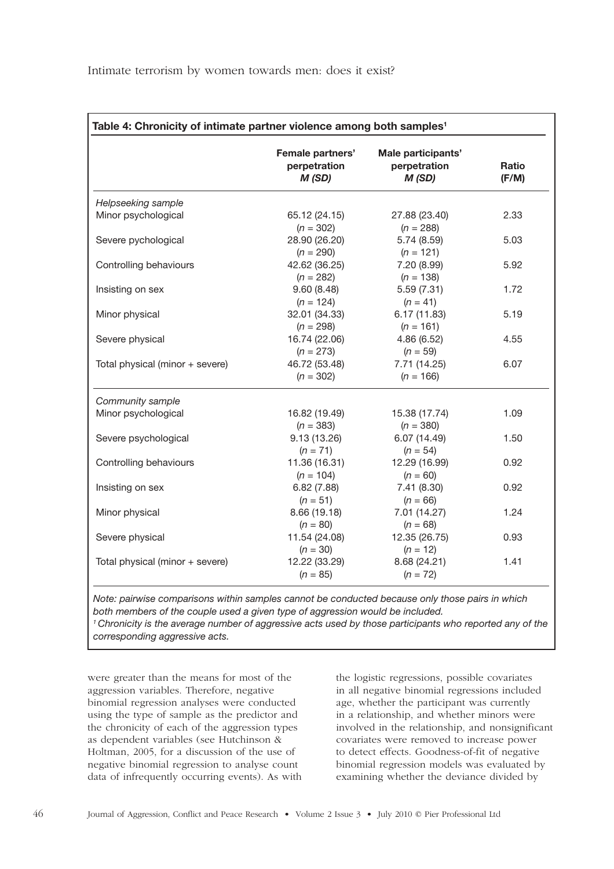| Intimate terrorism by women towards men: does it exist? |  |  |  |  |  |  |  |
|---------------------------------------------------------|--|--|--|--|--|--|--|
|---------------------------------------------------------|--|--|--|--|--|--|--|

|                                 | Female partners'<br>perpetration<br>M(SD) | Male participants'<br>perpetration<br>M(SD) | Ratio<br>(F/M) |
|---------------------------------|-------------------------------------------|---------------------------------------------|----------------|
| Helpseeking sample              |                                           |                                             |                |
| Minor psychological             | 65.12 (24.15)<br>$(n = 302)$              | 27.88 (23.40)<br>$(n = 288)$                | 2.33           |
| Severe pychological             | 28.90 (26.20)<br>$(n = 290)$              | 5.74(8.59)<br>$(n = 121)$                   | 5.03           |
| Controlling behaviours          | 42.62 (36.25)<br>$(n = 282)$              | 7.20 (8.99)<br>$(n = 138)$                  | 5.92           |
| Insisting on sex                | 9.60(8.48)<br>$(n = 124)$                 | 5.59(7.31)<br>$(n = 41)$                    | 1.72           |
| Minor physical                  | 32.01 (34.33)<br>$(n = 298)$              | 6.17(11.83)<br>$(n = 161)$                  | 5.19           |
| Severe physical                 | 16.74 (22.06)<br>$(n = 273)$              | 4.86(6.52)<br>$(n = 59)$                    | 4.55           |
| Total physical (minor + severe) | 46.72 (53.48)<br>$(n = 302)$              | 7.71 (14.25)<br>$(n = 166)$                 | 6.07           |
| Community sample                |                                           |                                             |                |
| Minor psychological             | 16.82 (19.49)<br>$(n = 383)$              | 15.38 (17.74)<br>$(n = 380)$                | 1.09           |
| Severe psychological            | 9.13(13.26)<br>$(n = 71)$                 | 6.07(14.49)<br>$(n = 54)$                   | 1.50           |
| Controlling behaviours          | 11.36 (16.31)<br>$(n = 104)$              | 12.29 (16.99)<br>$(n = 60)$                 | 0.92           |
| Insisting on sex                | 6.82(7.88)<br>$(n = 51)$                  | 7.41 (8.30)<br>$(n = 66)$                   | 0.92           |
| Minor physical                  | 8.66 (19.18)<br>$(n = 80)$                | 7.01 (14.27)<br>$(n = 68)$                  | 1.24           |
| Severe physical                 | 11.54 (24.08)<br>$(n = 30)$               | 12.35 (26.75)<br>$(n = 12)$                 | 0.93           |
| Total physical (minor + severe) | 12.22 (33.29)<br>$(n = 85)$               | 8.68 (24.21)<br>$(n = 72)$                  | 1.41           |

*Note: pairwise comparisons within samples cannot be conducted because only those pairs in which both members of the couple used a given type of aggression would be included. <sup>1</sup>Chronicity is the average number of aggressive acts used by those participants who reported any of the corresponding aggressive acts.*

were greater than the means for most of the aggression variables. Therefore, negative binomial regression analyses were conducted using the type of sample as the predictor and the chronicity of each of the aggression types as dependent variables (see Hutchinson & Holtman, 2005, for a discussion of the use of negative binomial regression to analyse count data of infrequently occurring events). As with the logistic regressions, possible covariates in all negative binomial regressions included age, whether the participant was currently in a relationship, and whether minors were involved in the relationship, and nonsignificant covariates were removed to increase power to detect effects. Goodness-of-fit of negative binomial regression models was evaluated by examining whether the deviance divided by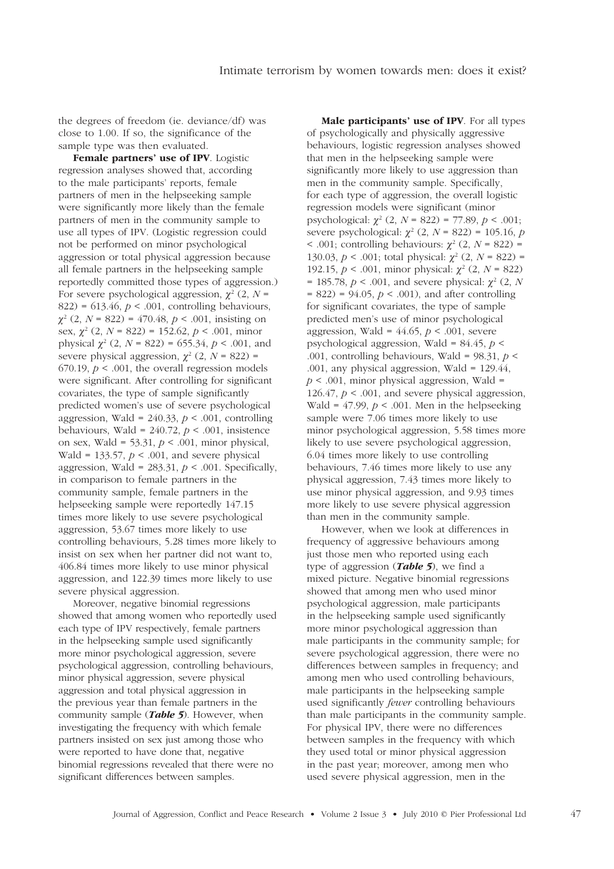the degrees of freedom (ie. deviance/df) was close to 1.00. If so, the significance of the sample type was then evaluated.

**Female partners' use of IPV**. Logistic regression analyses showed that, according to the male participants' reports, female partners of men in the helpseeking sample were significantly more likely than the female partners of men in the community sample to use all types of IPV. (Logistic regression could not be performed on minor psychological aggression or total physical aggression because all female partners in the helpseeking sample reportedly committed those types of aggression.) For severe psychological aggression,  $\chi^2$  (2, N =  $822$ ) = 613.46,  $p < .001$ , controlling behaviours,  $\chi^2$  (2, *N* = 822) = 470.48, *p* < .001, insisting on sex,  $\chi^2$  (2,  $N = 822$ ) = 152.62,  $p < .001$ , minor physical  $\chi^2$  (2,  $N = 822$ ) = 655.34,  $p < .001$ , and severe physical aggression,  $\chi^2$  (2,  $N = 822$ ) = 670.19,  $p < 0.001$ , the overall regression models were significant. After controlling for significant covariates, the type of sample significantly predicted women's use of severe psychological aggression, Wald =  $240.33$ ,  $p < .001$ , controlling behaviours, Wald =  $240.72$ ,  $p < .001$ , insistence on sex, Wald = 53.31, *p* < .001, minor physical, Wald = 133.57,  $p < .001$ , and severe physical aggression, Wald =  $283.31$ ,  $p < .001$ . Specifically, in comparison to female partners in the community sample, female partners in the helpseeking sample were reportedly 147.15 times more likely to use severe psychological aggression, 53.67 times more likely to use controlling behaviours, 5.28 times more likely to insist on sex when her partner did not want to, 406.84 times more likely to use minor physical aggression, and 122.39 times more likely to use severe physical aggression.

Moreover, negative binomial regressions showed that among women who reportedly used each type of IPV respectively, female partners in the helpseeking sample used significantly more minor psychological aggression, severe psychological aggression, controlling behaviours, minor physical aggression, severe physical aggression and total physical aggression in the previous year than female partners in the community sample (*Table 5*). However, when investigating the frequency with which female partners insisted on sex just among those who were reported to have done that, negative binomial regressions revealed that there were no significant differences between samples.

**Male participants' use of IPV**. For all types of psychologically and physically aggressive behaviours, logistic regression analyses showed that men in the helpseeking sample were significantly more likely to use aggression than men in the community sample. Specifically, for each type of aggression, the overall logistic regression models were significant (minor psychological:  $\chi^2$  (2,  $N = 822$ ) = 77.89,  $p < .001$ ; severe psychological:  $\chi^2$  (2, *N* = 822) = 105.16, *p*  $<$  .001; controlling behaviours:  $\chi^2$  (2, *N* = 822) = 130.03,  $p < .001$ ; total physical:  $\chi^2$  (2,  $N = 822$ ) = 192.15,  $p < .001$ , minor physical:  $\chi^2$  (2,  $N = 822$ )  $= 185.78, p < .001,$  and severe physical:  $\chi^2$  (2, *N*  $= 822$ ) = 94.05, *p* < .001), and after controlling for significant covariates, the type of sample predicted men's use of minor psychological aggression, Wald =  $44.65$ ,  $p < .001$ , severe psychological aggression, Wald = 84.45, *p* < .001, controlling behaviours, Wald =  $98.31, p \leq$ .001, any physical aggression, Wald = 129.44,  $p \leq 0.001$ , minor physical aggression, Wald = 126.47,  $p < .001$ , and severe physical aggression. Wald =  $47.99$ ,  $p < .001$ . Men in the helpseeking sample were 7.06 times more likely to use minor psychological aggression, 5.58 times more likely to use severe psychological aggression, 6.04 times more likely to use controlling behaviours, 7.46 times more likely to use any physical aggression, 7.43 times more likely to use minor physical aggression, and 9.93 times more likely to use severe physical aggression than men in the community sample.

However, when we look at differences in frequency of aggressive behaviours among just those men who reported using each type of aggression (*Table 5*), we find a mixed picture. Negative binomial regressions showed that among men who used minor psychological aggression, male participants in the helpseeking sample used significantly more minor psychological aggression than male participants in the community sample; for severe psychological aggression, there were no differences between samples in frequency; and among men who used controlling behaviours, male participants in the helpseeking sample used significantly *fewer* controlling behaviours than male participants in the community sample. For physical IPV, there were no differences between samples in the frequency with which they used total or minor physical aggression in the past year; moreover, among men who used severe physical aggression, men in the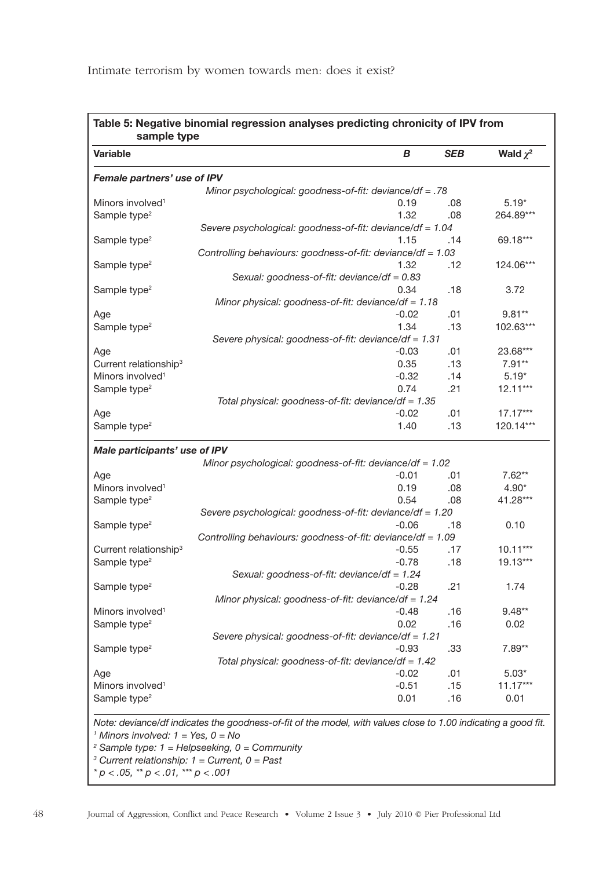| <b>Variable</b>                   | B                                                           | <b>SEB</b> | Wald $\chi^2$ |
|-----------------------------------|-------------------------------------------------------------|------------|---------------|
| Female partners' use of IPV       |                                                             |            |               |
|                                   | Minor psychological: goodness-of-fit: deviance/df = .78     |            |               |
| Minors involved <sup>1</sup>      | 0.19                                                        | .08        | $5.19*$       |
| Sample type <sup>2</sup>          | 1.32                                                        | .08        | 264.89***     |
|                                   | Severe psychological: goodness-of-fit: deviance/df = 1.04   |            |               |
| Sample type <sup>2</sup>          | 1.15                                                        | .14        | 69.18***      |
|                                   | Controlling behaviours: goodness-of-fit: deviance/df = 1.03 |            |               |
| Sample type <sup>2</sup>          | 1.32                                                        | .12        | 124.06***     |
|                                   | Sexual: goodness-of-fit: deviance/df = 0.83                 |            |               |
| Sample type <sup>2</sup>          | 0.34                                                        | .18        | 3.72          |
|                                   | Minor physical: goodness-of-fit: deviance/df = $1.18$       |            |               |
| Age                               | $-0.02$                                                     | .01        | $9.81**$      |
| Sample type <sup>2</sup>          | 1.34                                                        | .13        | 102.63***     |
|                                   | Severe physical: goodness-of-fit: deviance/df = 1.31        |            |               |
| Age                               | $-0.03$                                                     | .01        | 23.68***      |
| Current relationship <sup>3</sup> | 0.35                                                        | .13        | $7.91**$      |
| Minors involved <sup>1</sup>      | $-0.32$                                                     | .14        | $5.19*$       |
| Sample type <sup>2</sup>          | 0.74                                                        | .21        | 12.11***      |
|                                   | Total physical: goodness-of-fit: deviance/df = 1.35         |            |               |
| Age                               | $-0.02$                                                     | .01        | $17.17***$    |
| Sample type <sup>2</sup>          | 1.40                                                        | .13        | 120.14***     |
| Male participants' use of IPV     |                                                             |            |               |
|                                   | Minor psychological: goodness-of-fit: deviance/df = 1.02    |            |               |
| Age                               | $-0.01$                                                     | .01        | $7.62**$      |
| Minors involved <sup>1</sup>      | 0.19                                                        | .08        | $4.90*$       |
| Sample type <sup>2</sup>          | 0.54                                                        | .08        | 41.28***      |
|                                   | Severe psychological: goodness-of-fit: deviance/df = 1.20   |            |               |
| Sample type <sup>2</sup>          | $-0.06$                                                     | .18        | 0.10          |
|                                   | Controlling behaviours: goodness-of-fit: deviance/df = 1.09 |            |               |
| Current relationship <sup>3</sup> | $-0.55$                                                     | .17        | $10.11***$    |
| Sample type <sup>2</sup>          | $-0.78$                                                     | .18        | 19.13***      |
|                                   | Sexual: goodness-of-fit: deviance/df = 1.24                 |            |               |
| Sample type <sup>2</sup>          | $-0.28$                                                     | .21        | 1.74          |
|                                   | Minor physical: goodness-of-fit: deviance/df = $1.24$       |            |               |
| Minors involved <sup>1</sup>      | $-0.48$                                                     | .16        | $9.48**$      |
| Sample type <sup>2</sup>          | 0.02                                                        | .16        | 0.02          |
|                                   | Severe physical: goodness-of-fit: deviance/df = 1.21        |            |               |
| Sample type <sup>2</sup>          | $-0.93$                                                     | .33        | 7.89**        |
|                                   | Total physical: goodness-of-fit: deviance/df = 1.42         |            |               |
| Age                               | $-0.02$                                                     | .01        | $5.03*$       |
| Minors involved <sup>1</sup>      | $-0.51$                                                     | .15        | $11.17***$    |
| Sample type <sup>2</sup>          | 0.01                                                        | .16        | 0.01          |

*1 Minors involved: 1 = Yes, 0 = No*

*2 Sample type: 1 = Helpseeking, 0 = Community*

*3 Current relationship: 1 = Current, 0 = Past*

*\* p < .05, \*\* p < .01, \*\*\* p < .001*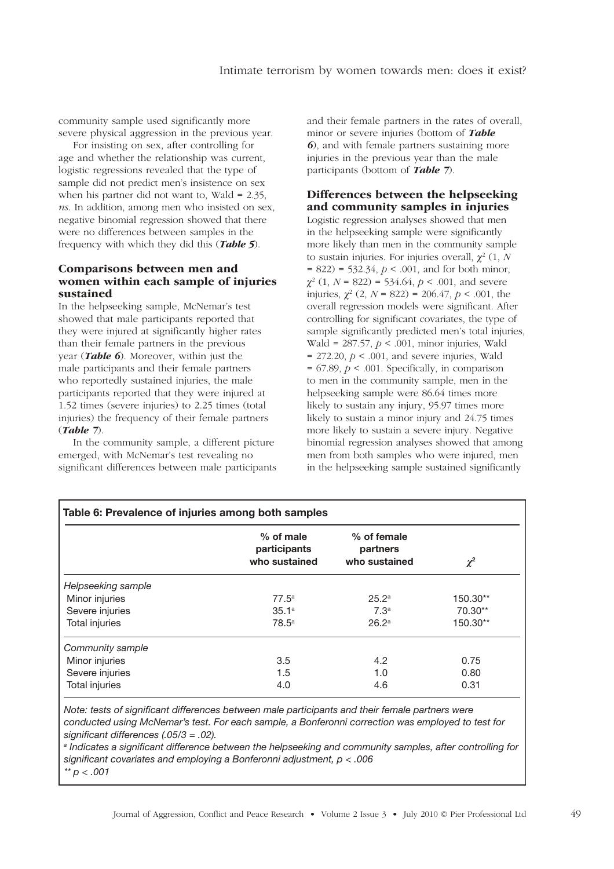community sample used significantly more severe physical aggression in the previous year.

For insisting on sex, after controlling for age and whether the relationship was current, logistic regressions revealed that the type of sample did not predict men's insistence on sex when his partner did not want to, Wald = 2.35, *ns*. In addition, among men who insisted on sex, negative binomial regression showed that there were no differences between samples in the frequency with which they did this (*Table 5*).

## **Comparisons between men and women within each sample of injuries sustained**

In the helpseeking sample, McNemar's test showed that male participants reported that they were injured at significantly higher rates than their female partners in the previous year (*Table 6*). Moreover, within just the male participants and their female partners who reportedly sustained injuries, the male participants reported that they were injured at 1.52 times (severe injuries) to 2.25 times (total injuries) the frequency of their female partners (*Table 7*).

In the community sample, a different picture emerged, with McNemar's test revealing no significant differences between male participants and their female partners in the rates of overall, minor or severe injuries (bottom of *Table 6*), and with female partners sustaining more injuries in the previous year than the male participants (bottom of *Table 7*).

## **Differences between the helpseeking and community samples in injuries**

Logistic regression analyses showed that men in the helpseeking sample were significantly more likely than men in the community sample to sustain injuries. For injuries overall,  $\chi^2$  (1, N = 822) = 532.34, *p* < .001, and for both minor,  $\chi^2$  (1, *N* = 822) = 534.64, *p* < .001, and severe injuries,  $\chi^2$  (2,  $N = 822$ ) = 206.47,  $p < .001$ , the overall regression models were significant. After controlling for significant covariates, the type of sample significantly predicted men's total injuries, Wald = 287.57, *p* < .001, minor injuries, Wald  $= 272.20, p \le 0.001$ , and severe injuries, Wald  $= 67.89, p < .001$ . Specifically, in comparison to men in the community sample, men in the helpseeking sample were 86.64 times more likely to sustain any injury, 95.97 times more likely to sustain a minor injury and 24.75 times more likely to sustain a severe injury. Negative binomial regression analyses showed that among men from both samples who were injured, men in the helpseeking sample sustained significantly

|                    | % of male<br>participants<br>who sustained | % of female<br>partners<br>who sustained | $\chi^2$ |
|--------------------|--------------------------------------------|------------------------------------------|----------|
| Helpseeking sample |                                            |                                          |          |
| Minor injuries     | $77.5^{\circ}$                             | 25.2 <sup>a</sup>                        | 150.30** |
| Severe injuries    | 35.1a                                      | 7.3 <sup>a</sup>                         | 70.30**  |
| Total injuries     | $78.5^{\circ}$                             | 26.2 <sup>a</sup>                        | 150.30** |
| Community sample   |                                            |                                          |          |
| Minor injuries     | 3.5                                        | 4.2                                      | 0.75     |
| Severe injuries    | 1.5                                        | 1.0                                      | 0.80     |
| Total injuries     | 4.0                                        | 4.6                                      | 0.31     |

*Note: tests of significant differences between male participants and their female partners were conducted using McNemar's test. For each sample, a Bonferonni correction was employed to test for significant differences (.05/3 = .02).* 

*a Indicates a significant difference between the helpseeking and community samples, after controlling for significant covariates and employing a Bonferonni adjustment, p < .006*

*\*\* p < .001*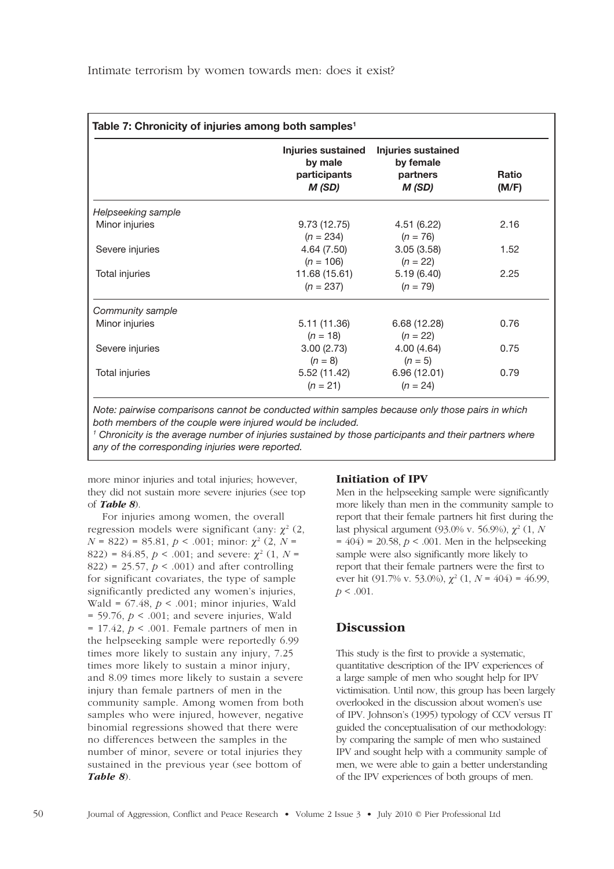|                    | Injuries sustained<br>by male<br>participants<br>M(SD) | Injuries sustained<br>by female<br>partners<br>M (SD) | <b>Ratio</b><br>(M/F) |
|--------------------|--------------------------------------------------------|-------------------------------------------------------|-----------------------|
| Helpseeking sample |                                                        |                                                       |                       |
| Minor injuries     | 9.73 (12.75)<br>$(n = 234)$                            | 4.51(6.22)<br>$(n = 76)$                              | 2.16                  |
| Severe injuries    | 4.64 (7.50)<br>$(n = 106)$                             | 3.05(3.58)<br>$(n = 22)$                              | 1.52                  |
| Total injuries     | 11.68 (15.61)<br>$(n = 237)$                           | 5.19(6.40)<br>$(n = 79)$                              | 2.25                  |
| Community sample   |                                                        |                                                       |                       |
| Minor injuries     | 5.11 (11.36)<br>$(n = 18)$                             | 6.68(12.28)<br>$(n = 22)$                             | 0.76                  |
| Severe injuries    | 3.00(2.73)<br>$(n = 8)$                                | 4.00(4.64)<br>$(n = 5)$                               | 0.75                  |
| Total injuries     | 5.52 (11.42)<br>$(n = 21)$                             | 6.96(12.01)<br>$(n = 24)$                             | 0.79                  |

*Note: pairwise comparisons cannot be conducted within samples because only those pairs in which both members of the couple were injured would be included.* 

<sup>1</sup> Chronicity is the average number of injuries sustained by those participants and their partners where *any of the corresponding injuries were reported.*

more minor injuries and total injuries; however, they did not sustain more severe injuries (see top of *Table 8*).

For injuries among women, the overall regression models were significant (any:  $\chi^2$  (2,  $N = 822$ ) = 85.81,  $p < .001$ ; minor:  $\chi^2$  (2,  $N =$ 822) = 84.85,  $p < .001$ ; and severe:  $\chi^2$  (1,  $N =$ 822) = 25.57,  $p < .001$  and after controlling for significant covariates, the type of sample significantly predicted any women's injuries, Wald = 67.48, *p* < .001; minor injuries, Wald  $= 59.76$ ,  $p < .001$ ; and severe injuries, Wald  $= 17.42$ ,  $p < .001$ . Female partners of men in the helpseeking sample were reportedly 6.99 times more likely to sustain any injury, 7.25 times more likely to sustain a minor injury, and 8.09 times more likely to sustain a severe injury than female partners of men in the community sample. Among women from both samples who were injured, however, negative binomial regressions showed that there were no differences between the samples in the number of minor, severe or total injuries they sustained in the previous year (see bottom of *Table 8*).

## **Initiation of IPV**

Men in the helpseeking sample were significantly more likely than men in the community sample to report that their female partners hit first during the last physical argument (93.0% v. 56.9%), 2 (1, *N*  $= 404$ ) = 20.58,  $p < .001$ . Men in the helpseeking sample were also significantly more likely to report that their female partners were the first to ever hit (91.7% v. 53.0%),  $\chi^2$  (1,  $N = 404$ ) = 46.99,  $p < .001$ .

## **Discussion**

This study is the first to provide a systematic, quantitative description of the IPV experiences of a large sample of men who sought help for IPV victimisation. Until now, this group has been largely overlooked in the discussion about women's use of IPV. Johnson's (1995) typology of CCV versus IT guided the conceptualisation of our methodology: by comparing the sample of men who sustained IPV and sought help with a community sample of men, we were able to gain a better understanding of the IPV experiences of both groups of men.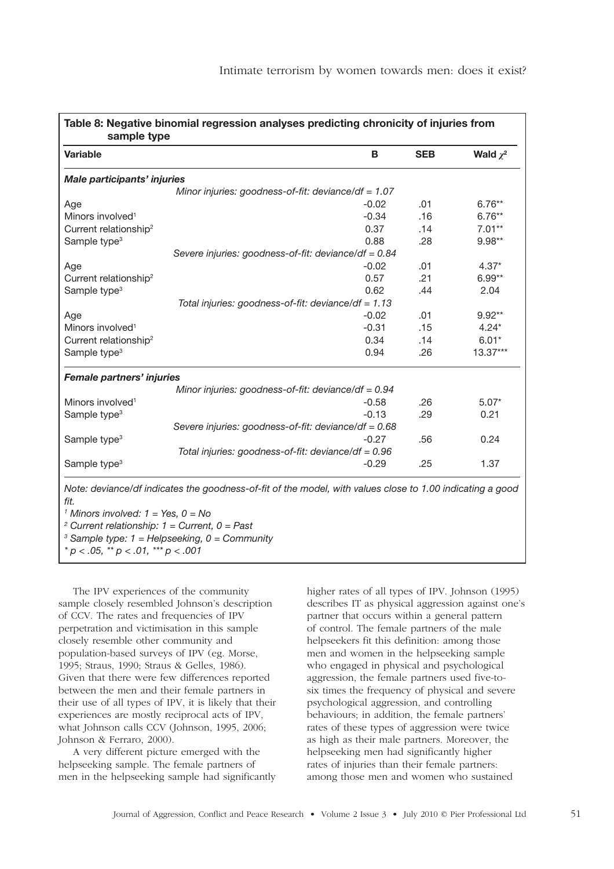| Table 8: Negative binomial regression analyses predicting chronicity of injuries from<br>sample type                                                                    |                                                       |            |               |
|-------------------------------------------------------------------------------------------------------------------------------------------------------------------------|-------------------------------------------------------|------------|---------------|
| <b>Variable</b>                                                                                                                                                         | B                                                     | <b>SEB</b> | Wald $\chi^2$ |
| Male participants' injuries                                                                                                                                             |                                                       |            |               |
|                                                                                                                                                                         | Minor injuries: goodness-of-fit: deviance/df = $1.07$ |            |               |
| Age                                                                                                                                                                     | $-0.02$                                               | .01        | $6.76**$      |
| Minors involved <sup>1</sup>                                                                                                                                            | $-0.34$                                               | .16        | $6.76**$      |
| Current relationship <sup>2</sup>                                                                                                                                       | 0.37                                                  | .14        | $7.01**$      |
| Sample type <sup>3</sup>                                                                                                                                                | 0.88                                                  | .28        | 9.98**        |
|                                                                                                                                                                         | Severe injuries: goodness-of-fit: deviance/df = 0.84  |            |               |
| Age                                                                                                                                                                     | $-0.02$                                               | .01        | $4.37*$       |
| Current relationship <sup>2</sup>                                                                                                                                       | 0.57                                                  | .21        | $6.99**$      |
| Sample type <sup>3</sup>                                                                                                                                                | 0.62                                                  | .44        | 2.04          |
|                                                                                                                                                                         | Total injuries: goodness-of-fit: deviance/df = 1.13   |            |               |
| Age                                                                                                                                                                     | $-0.02$                                               | .01        | $9.92**$      |
| Minors involved <sup>1</sup>                                                                                                                                            | $-0.31$                                               | .15        | $4.24*$       |
| Current relationship <sup>2</sup>                                                                                                                                       | 0.34                                                  | .14        | $6.01*$       |
| Sample type <sup>3</sup>                                                                                                                                                | 0.94                                                  | .26        | 13.37***      |
| <b>Female partners' injuries</b>                                                                                                                                        |                                                       |            |               |
|                                                                                                                                                                         | Minor injuries: goodness-of-fit: deviance/df = $0.94$ |            |               |
| Minors involved <sup>1</sup>                                                                                                                                            | $-0.58$                                               | .26        | $5.07*$       |
| Sample type <sup>3</sup>                                                                                                                                                | $-0.13$                                               | .29        | 0.21          |
|                                                                                                                                                                         | Severe injuries: goodness-of-fit: deviance/df = 0.68  |            |               |
| Sample type <sup>3</sup>                                                                                                                                                | $-0.27$                                               | .56        | 0.24          |
|                                                                                                                                                                         | Total injuries: goodness-of-fit: deviance/df = 0.96   |            |               |
| Sample type <sup>3</sup>                                                                                                                                                | $-0.29$                                               | .25        | 1.37          |
| Note: deviance/df indicates the goodness-of-fit of the model, with values close to 1.00 indicating a good<br>fit.<br><sup>1</sup> Minors involved: $1 = Yes$ , $0 = No$ |                                                       |            |               |
| <sup>2</sup> Current relationship: $1 =$ Current, $0 =$ Past                                                                                                            |                                                       |            |               |
| <sup>3</sup> Sample type: $1 = Help$ seeking, $0 =$ Community                                                                                                           |                                                       |            |               |

*\* p < .05, \*\* p < .01, \*\*\* p < .001*

The IPV experiences of the community sample closely resembled Johnson's description of CCV. The rates and frequencies of IPV perpetration and victimisation in this sample closely resemble other community and population-based surveys of IPV (eg. Morse, 1995; Straus, 1990; Straus & Gelles, 1986). Given that there were few differences reported between the men and their female partners in their use of all types of IPV, it is likely that their experiences are mostly reciprocal acts of IPV, what Johnson calls CCV (Johnson, 1995, 2006; Johnson & Ferraro, 2000).

A very different picture emerged with the helpseeking sample. The female partners of men in the helpseeking sample had significantly higher rates of all types of IPV. Johnson (1995) describes IT as physical aggression against one's partner that occurs within a general pattern of control. The female partners of the male helpseekers fit this definition: among those men and women in the helpseeking sample who engaged in physical and psychological aggression, the female partners used five-tosix times the frequency of physical and severe psychological aggression, and controlling behaviours; in addition, the female partners' rates of these types of aggression were twice as high as their male partners. Moreover, the helpseeking men had significantly higher rates of injuries than their female partners: among those men and women who sustained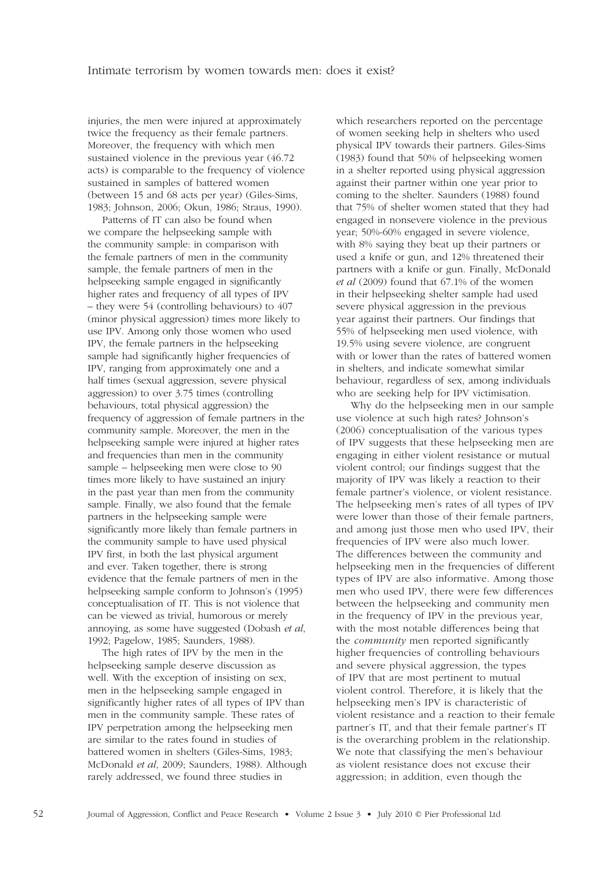injuries, the men were injured at approximately twice the frequency as their female partners. Moreover, the frequency with which men sustained violence in the previous year (46.72 acts) is comparable to the frequency of violence sustained in samples of battered women (between 15 and 68 acts per year) (Giles-Sims, 1983; Johnson, 2006; Okun, 1986; Straus, 1990).

Patterns of IT can also be found when we compare the helpseeking sample with the community sample: in comparison with the female partners of men in the community sample, the female partners of men in the helpseeking sample engaged in significantly higher rates and frequency of all types of IPV – they were 54 (controlling behaviours) to 407 (minor physical aggression) times more likely to use IPV. Among only those women who used IPV, the female partners in the helpseeking sample had significantly higher frequencies of IPV, ranging from approximately one and a half times (sexual aggression, severe physical aggression) to over 3.75 times (controlling behaviours, total physical aggression) the frequency of aggression of female partners in the community sample. Moreover, the men in the helpseeking sample were injured at higher rates and frequencies than men in the community sample – helpseeking men were close to 90 times more likely to have sustained an injury in the past year than men from the community sample. Finally, we also found that the female partners in the helpseeking sample were significantly more likely than female partners in the community sample to have used physical IPV first, in both the last physical argument and ever. Taken together, there is strong evidence that the female partners of men in the helpseeking sample conform to Johnson's (1995) conceptualisation of IT. This is not violence that can be viewed as trivial, humorous or merely annoying, as some have suggested (Dobash *et al*, 1992; Pagelow, 1985; Saunders, 1988).

The high rates of IPV by the men in the helpseeking sample deserve discussion as well. With the exception of insisting on sex, men in the helpseeking sample engaged in significantly higher rates of all types of IPV than men in the community sample. These rates of IPV perpetration among the helpseeking men are similar to the rates found in studies of battered women in shelters (Giles-Sims, 1983; McDonald *et al*, 2009; Saunders, 1988). Although rarely addressed, we found three studies in

which researchers reported on the percentage of women seeking help in shelters who used physical IPV towards their partners. Giles-Sims (1983) found that 50% of helpseeking women in a shelter reported using physical aggression against their partner within one year prior to coming to the shelter. Saunders (1988) found that 75% of shelter women stated that they had engaged in nonsevere violence in the previous year; 50%-60% engaged in severe violence, with 8% saying they beat up their partners or used a knife or gun, and 12% threatened their partners with a knife or gun. Finally, McDonald *et al* (2009) found that 67.1% of the women in their helpseeking shelter sample had used severe physical aggression in the previous year against their partners. Our findings that 55% of helpseeking men used violence, with 19.5% using severe violence, are congruent with or lower than the rates of battered women in shelters, and indicate somewhat similar behaviour, regardless of sex, among individuals who are seeking help for IPV victimisation.

Why do the helpseeking men in our sample use violence at such high rates? Johnson's (2006) conceptualisation of the various types of IPV suggests that these helpseeking men are engaging in either violent resistance or mutual violent control; our findings suggest that the majority of IPV was likely a reaction to their female partner's violence, or violent resistance. The helpseeking men's rates of all types of IPV were lower than those of their female partners, and among just those men who used IPV, their frequencies of IPV were also much lower. The differences between the community and helpseeking men in the frequencies of different types of IPV are also informative. Among those men who used IPV, there were few differences between the helpseeking and community men in the frequency of IPV in the previous year, with the most notable differences being that the *community* men reported significantly higher frequencies of controlling behaviours and severe physical aggression, the types of IPV that are most pertinent to mutual violent control. Therefore, it is likely that the helpseeking men's IPV is characteristic of violent resistance and a reaction to their female partner's IT, and that their female partner's IT is the overarching problem in the relationship. We note that classifying the men's behaviour as violent resistance does not excuse their aggression; in addition, even though the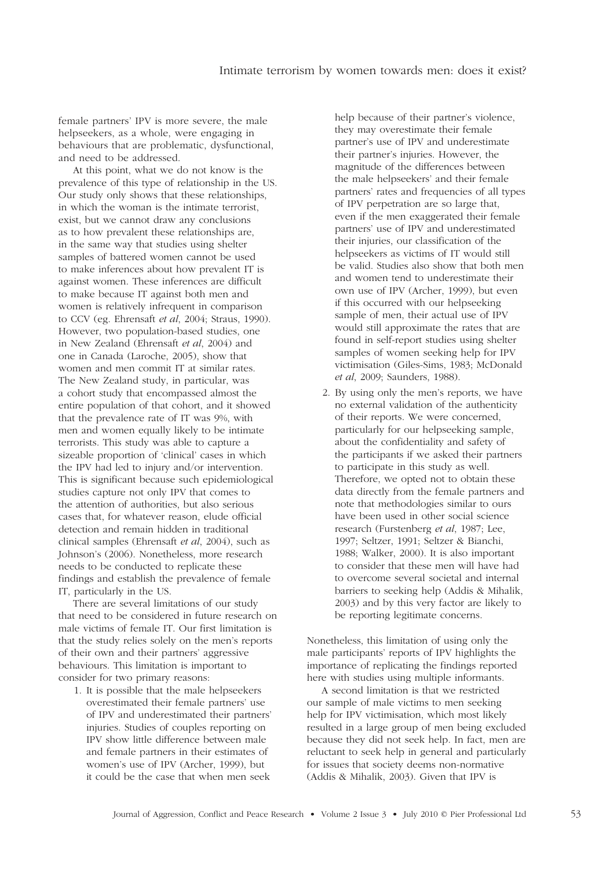female partners' IPV is more severe, the male helpseekers, as a whole, were engaging in behaviours that are problematic, dysfunctional, and need to be addressed.

At this point, what we do not know is the prevalence of this type of relationship in the US. Our study only shows that these relationships, in which the woman is the intimate terrorist, exist, but we cannot draw any conclusions as to how prevalent these relationships are, in the same way that studies using shelter samples of battered women cannot be used to make inferences about how prevalent IT is against women. These inferences are difficult to make because IT against both men and women is relatively infrequent in comparison to CCV (eg. Ehrensaft *et al*, 2004; Straus, 1990). However, two population-based studies, one in New Zealand (Ehrensaft *et al*, 2004) and one in Canada (Laroche, 2005), show that women and men commit IT at similar rates. The New Zealand study, in particular, was a cohort study that encompassed almost the entire population of that cohort, and it showed that the prevalence rate of IT was 9%, with men and women equally likely to be intimate terrorists. This study was able to capture a sizeable proportion of 'clinical' cases in which the IPV had led to injury and/or intervention. This is significant because such epidemiological studies capture not only IPV that comes to the attention of authorities, but also serious cases that, for whatever reason, elude official detection and remain hidden in traditional clinical samples (Ehrensaft *et al*, 2004), such as Johnson's (2006). Nonetheless, more research needs to be conducted to replicate these findings and establish the prevalence of female IT, particularly in the US.

There are several limitations of our study that need to be considered in future research on male victims of female IT. Our first limitation is that the study relies solely on the men's reports of their own and their partners' aggressive behaviours. This limitation is important to consider for two primary reasons:

1. It is possible that the male helpseekers overestimated their female partners' use of IPV and underestimated their partners' injuries. Studies of couples reporting on IPV show little difference between male and female partners in their estimates of women's use of IPV (Archer, 1999), but it could be the case that when men seek

help because of their partner's violence, they may overestimate their female partner's use of IPV and underestimate their partner's injuries. However, the magnitude of the differences between the male helpseekers' and their female partners' rates and frequencies of all types of IPV perpetration are so large that, even if the men exaggerated their female partners' use of IPV and underestimated their injuries, our classification of the helpseekers as victims of IT would still be valid. Studies also show that both men and women tend to underestimate their own use of IPV (Archer, 1999), but even if this occurred with our helpseeking sample of men, their actual use of IPV would still approximate the rates that are found in self-report studies using shelter samples of women seeking help for IPV victimisation (Giles-Sims, 1983; McDonald *et al*, 2009; Saunders, 1988).

2. By using only the men's reports, we have no external validation of the authenticity of their reports. We were concerned, particularly for our helpseeking sample, about the confidentiality and safety of the participants if we asked their partners to participate in this study as well. Therefore, we opted not to obtain these data directly from the female partners and note that methodologies similar to ours have been used in other social science research (Furstenberg *et al*, 1987; Lee, 1997; Seltzer, 1991; Seltzer & Bianchi, 1988; Walker, 2000). It is also important to consider that these men will have had to overcome several societal and internal barriers to seeking help (Addis & Mihalik, 2003) and by this very factor are likely to be reporting legitimate concerns.

Nonetheless, this limitation of using only the male participants' reports of IPV highlights the importance of replicating the findings reported here with studies using multiple informants.

A second limitation is that we restricted our sample of male victims to men seeking help for IPV victimisation, which most likely resulted in a large group of men being excluded because they did not seek help. In fact, men are reluctant to seek help in general and particularly for issues that society deems non-normative (Addis & Mihalik, 2003). Given that IPV is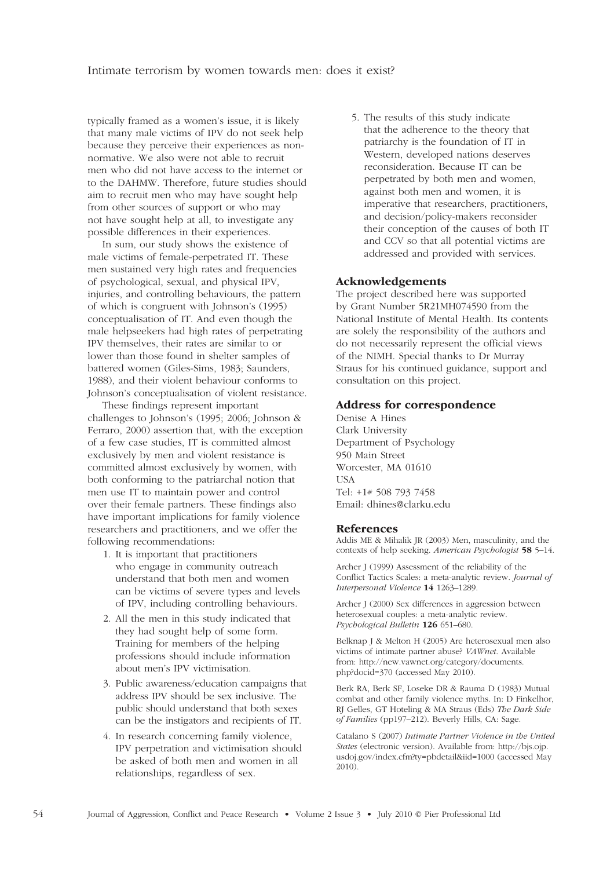typically framed as a women's issue, it is likely that many male victims of IPV do not seek help because they perceive their experiences as nonnormative. We also were not able to recruit men who did not have access to the internet or to the DAHMW. Therefore, future studies should aim to recruit men who may have sought help from other sources of support or who may not have sought help at all, to investigate any possible differences in their experiences.

In sum, our study shows the existence of male victims of female-perpetrated IT. These men sustained very high rates and frequencies of psychological, sexual, and physical IPV, injuries, and controlling behaviours, the pattern of which is congruent with Johnson's (1995) conceptualisation of IT. And even though the male helpseekers had high rates of perpetrating IPV themselves, their rates are similar to or lower than those found in shelter samples of battered women (Giles-Sims, 1983; Saunders, 1988), and their violent behaviour conforms to Johnson's conceptualisation of violent resistance.

These findings represent important challenges to Johnson's (1995; 2006; Johnson & Ferraro, 2000) assertion that, with the exception of a few case studies, IT is committed almost exclusively by men and violent resistance is committed almost exclusively by women, with both conforming to the patriarchal notion that men use IT to maintain power and control over their female partners. These findings also have important implications for family violence researchers and practitioners, and we offer the following recommendations:

- 1. It is important that practitioners who engage in community outreach understand that both men and women can be victims of severe types and levels of IPV, including controlling behaviours.
- 2. All the men in this study indicated that they had sought help of some form. Training for members of the helping professions should include information about men's IPV victimisation.
- 3. Public awareness/education campaigns that address IPV should be sex inclusive. The public should understand that both sexes can be the instigators and recipients of IT.
- 4. In research concerning family violence, IPV perpetration and victimisation should be asked of both men and women in all relationships, regardless of sex.

5. The results of this study indicate that the adherence to the theory that patriarchy is the foundation of IT in Western, developed nations deserves reconsideration. Because IT can be perpetrated by both men and women, against both men and women, it is imperative that researchers, practitioners, and decision/policy-makers reconsider their conception of the causes of both IT and CCV so that all potential victims are addressed and provided with services.

## **Acknowledgements**

The project described here was supported by Grant Number 5R21MH074590 from the National Institute of Mental Health. Its contents are solely the responsibility of the authors and do not necessarily represent the official views of the NIMH. Special thanks to Dr Murray Straus for his continued guidance, support and consultation on this project.

#### **Address for correspondence**

Denise A Hines Clark University Department of Psychology 950 Main Street Worcester, MA 01610 **TISA** Tel: +1# 508 793 7458 Email: dhines@clarku.edu

#### **References**

Addis ME & Mihalik JR (2003) Men, masculinity, and the contexts of help seeking. *American Psychologist* **58** 5–14.

Archer J (1999) Assessment of the reliability of the Conflict Tactics Scales: a meta-analytic review. *Journal of Interpersonal Violence* **14** 1263–1289.

Archer J (2000) Sex differences in aggression between heterosexual couples: a meta-analytic review. *Psychological Bulletin* **126** 651–680.

Belknap J & Melton H (2005) Are heterosexual men also victims of intimate partner abuse? *VAWnet*. Available from: http://new.vawnet.org/category/documents. php?docid=370 (accessed May 2010).

Berk RA, Berk SF, Loseke DR & Rauma D (1983) Mutual combat and other family violence myths. In: D Finkelhor, RJ Gelles, GT Hoteling & MA Straus (Eds) *The Dark Side of Families* (pp197–212). Beverly Hills, CA: Sage.

Catalano S (2007) *Intimate Partner Violence in the United States* (electronic version). Available from: http://bjs.ojp. usdoj.gov/index.cfm?ty=pbdetail&iid=1000 (accessed May 2010).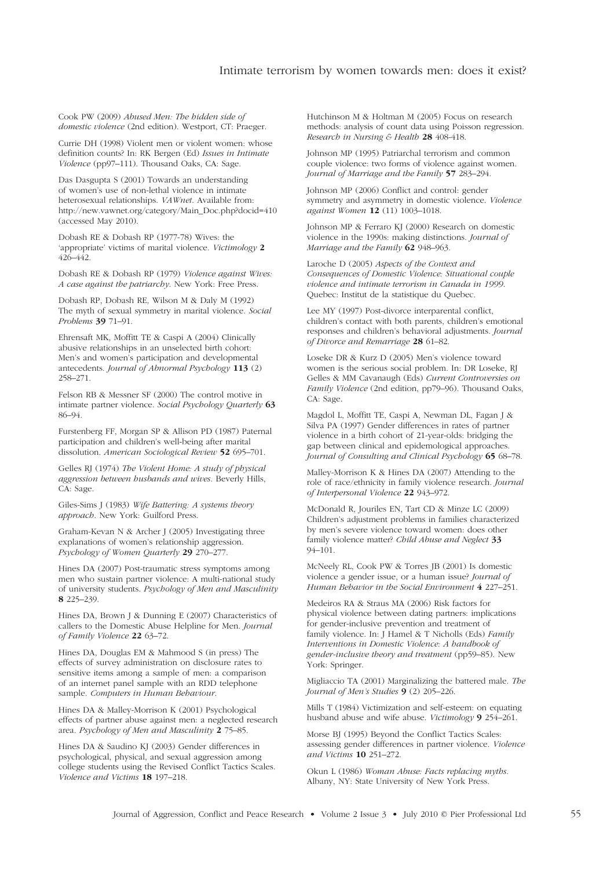Cook PW (2009) *Abused Men: The hidden side of domestic violence* (2nd edition). Westport, CT: Praeger.

Currie DH (1998) Violent men or violent women: whose definition counts? In: RK Bergen (Ed) *Issues in Intimate Violence* (pp97–111). Thousand Oaks, CA: Sage.

Das Dasgupta S (2001) Towards an understanding of women's use of non-lethal violence in intimate heterosexual relationships. *VAWnet*. Available from: http://new.vawnet.org/category/Main\_Doc.php?docid=410 (accessed May 2010).

Dobash RE & Dobash RP (1977-78) Wives: the 'appropriate' victims of marital violence. *Victimology* **2** 426–442.

Dobash RE & Dobash RP (1979) *Violence against Wives: A case against the patriarchy*. New York: Free Press.

Dobash RP, Dobash RE, Wilson M & Daly M (1992) The myth of sexual symmetry in marital violence. *Social Problems* **39** 71–91.

Ehrensaft MK, Moffitt TE & Caspi A (2004) Clinically abusive relationships in an unselected birth cohort: Men's and women's participation and developmental antecedents. *Journal of Abnormal Psychology* **113** (2) 258–271.

Felson RB & Messner SF (2000) The control motive in intimate partner violence. *Social Psychology Quarterly* **63** 86–94.

Furstenberg FF, Morgan SP & Allison PD (1987) Paternal participation and children's well-being after marital dissolution. *American Sociological Review* **52** 695–701.

Gelles RJ (1974) *The Violent Home: A study of physical aggression between husbands and wives*. Beverly Hills, CA: Sage.

Giles-Sims J (1983) *Wife Battering: A systems theory approach*. New York: Guilford Press.

Graham-Kevan N & Archer J (2005) Investigating three explanations of women's relationship aggression. *Psychology of Women Quarterly* **29** 270–277.

Hines DA (2007) Post-traumatic stress symptoms among men who sustain partner violence: A multi-national study of university students. *Psychology of Men and Masculinity*  **8** 225–239.

Hines DA, Brown J & Dunning E (2007) Characteristics of callers to the Domestic Abuse Helpline for Men. *Journal of Family Violence* **22** 63–72.

Hines DA, Douglas EM & Mahmood S (in press) The effects of survey administration on disclosure rates to sensitive items among a sample of men: a comparison of an internet panel sample with an RDD telephone sample. *Computers in Human Behaviour*.

Hines DA & Malley-Morrison K (2001) Psychological effects of partner abuse against men: a neglected research area. *Psychology of Men and Masculinity* **2** 75–85.

Hines DA & Saudino KJ (2003) Gender differences in psychological, physical, and sexual aggression among college students using the Revised Conflict Tactics Scales. *Violence and Victims* **18** 197–218.

Hutchinson M & Holtman M (2005) Focus on research methods: analysis of count data using Poisson regression. *Research in Nursing & Health* **28** 408-418.

Johnson MP (1995) Patriarchal terrorism and common couple violence: two forms of violence against women. *Journal of Marriage and the Family* **57** 283–294.

Johnson MP (2006) Conflict and control: gender symmetry and asymmetry in domestic violence. *Violence against Women* **12** (11) 1003–1018.

Johnson MP & Ferraro KJ (2000) Research on domestic violence in the 1990s: making distinctions. *Journal of Marriage and the Family* **62** 948–963.

Laroche D (2005) *Aspects of the Context and Consequences of Domestic Violence: Situational couple violence and intimate terrorism in Canada in 1999*. Quebec: Institut de la statistique du Quebec.

Lee MY (1997) Post-divorce interparental conflict, children's contact with both parents, children's emotional responses and children's behavioral adjustments. *Journal of Divorce and Remarriage* **28** 61–82.

Loseke DR & Kurz D (2005) Men's violence toward women is the serious social problem. In: DR Loseke, RJ Gelles & MM Cavanaugh (Eds) *Current Controversies on Family Violence* (2nd edition, pp79–96). Thousand Oaks, CA: Sage.

Magdol L, Moffitt TE, Caspi A, Newman DL, Fagan J & Silva PA (1997) Gender differences in rates of partner violence in a birth cohort of 21-year-olds: bridging the gap between clinical and epidemological approaches. *Journal of Consulting and Clinical Psychology* **65** 68–78.

Malley-Morrison K & Hines DA (2007) Attending to the role of race/ethnicity in family violence research. *Journal of Interpersonal Violence* **22** 943–972.

McDonald R, Jouriles EN, Tart CD & Minze LC (2009) Children's adjustment problems in families characterized by men's severe violence toward women: does other family violence matter? *Child Abuse and Neglect* **33** 94–101.

McNeely RL, Cook PW & Torres JB (2001) Is domestic violence a gender issue, or a human issue? *Journal of Human Behavior in the Social Environment* **4** 227–251.

Medeiros RA & Straus MA (2006) Risk factors for physical violence between dating partners: implications for gender-inclusive prevention and treatment of family violence. In: J Hamel & T Nicholls (Eds) *Family Interventions in Domestic Violence: A handbook of gender-inclusive theory and treatment* (pp59–85). New York: Springer.

Migliaccio TA (2001) Marginalizing the battered male. *The Journal of Men's Studies* **9** (2) 205–226.

Mills T (1984) Victimization and self-esteem: on equating husband abuse and wife abuse. *Victimology* **9** 254–261.

Morse BJ (1995) Beyond the Conflict Tactics Scales: assessing gender differences in partner violence. *Violence and Victims* **10** 251–272.

Okun L (1986) *Woman Abuse: Facts replacing myths*. Albany, NY: State University of New York Press.